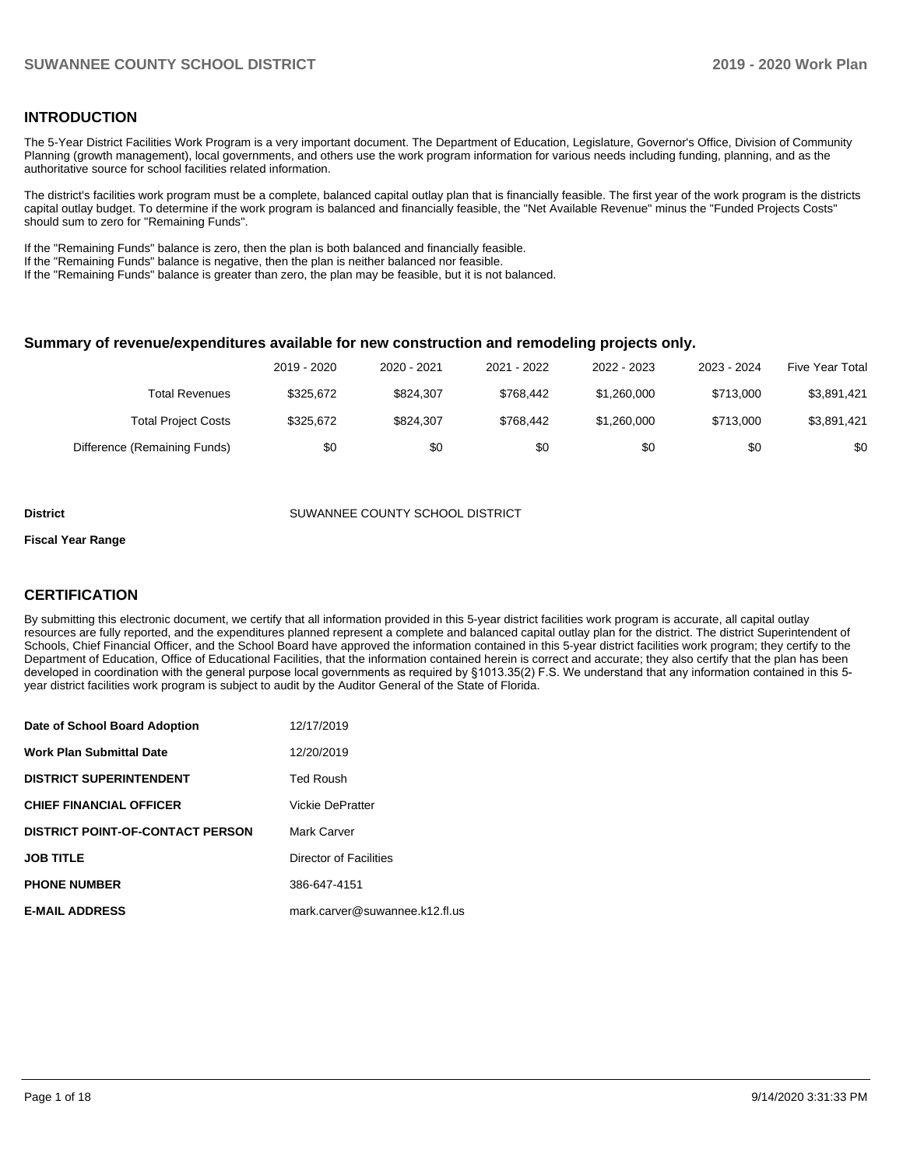#### **INTRODUCTION**

The 5-Year District Facilities Work Program is a very important document. The Department of Education, Legislature, Governor's Office, Division of Community Planning (growth management), local governments, and others use the work program information for various needs including funding, planning, and as the authoritative source for school facilities related information.

The district's facilities work program must be a complete, balanced capital outlay plan that is financially feasible. The first year of the work program is the districts capital outlay budget. To determine if the work program is balanced and financially feasible, the "Net Available Revenue" minus the "Funded Projects Costs" should sum to zero for "Remaining Funds".

If the "Remaining Funds" balance is zero, then the plan is both balanced and financially feasible.

If the "Remaining Funds" balance is negative, then the plan is neither balanced nor feasible.

If the "Remaining Funds" balance is greater than zero, the plan may be feasible, but it is not balanced.

#### **Summary of revenue/expenditures available for new construction and remodeling projects only.**

|                              | 2019 - 2020 | 2020 - 2021 | 2021 - 2022 | 2022 - 2023 | 2023 - 2024 | <b>Five Year Total</b> |
|------------------------------|-------------|-------------|-------------|-------------|-------------|------------------------|
| Total Revenues               | \$325.672   | \$824.307   | \$768.442   | \$1,260,000 | \$713,000   | \$3,891,421            |
| <b>Total Project Costs</b>   | \$325.672   | \$824.307   | \$768.442   | \$1,260,000 | \$713,000   | \$3,891,421            |
| Difference (Remaining Funds) | \$0         | \$0         | \$0         | \$0         | \$0         | \$0                    |

**District COUNTY SUMANNEE COUNTY SCHOOL DISTRICT** 

#### **Fiscal Year Range**

#### **CERTIFICATION**

By submitting this electronic document, we certify that all information provided in this 5-year district facilities work program is accurate, all capital outlay resources are fully reported, and the expenditures planned represent a complete and balanced capital outlay plan for the district. The district Superintendent of Schools, Chief Financial Officer, and the School Board have approved the information contained in this 5-year district facilities work program; they certify to the Department of Education, Office of Educational Facilities, that the information contained herein is correct and accurate; they also certify that the plan has been developed in coordination with the general purpose local governments as required by §1013.35(2) F.S. We understand that any information contained in this 5 year district facilities work program is subject to audit by the Auditor General of the State of Florida.

| Date of School Board Adoption           | 12/17/2019                     |
|-----------------------------------------|--------------------------------|
| <b>Work Plan Submittal Date</b>         | 12/20/2019                     |
| <b>DISTRICT SUPERINTENDENT</b>          | <b>Ted Roush</b>               |
| <b>CHIEF FINANCIAL OFFICER</b>          | <b>Vickie DePratter</b>        |
| <b>DISTRICT POINT-OF-CONTACT PERSON</b> | Mark Carver                    |
| <b>JOB TITLE</b>                        | Director of Facilities         |
| <b>PHONE NUMBER</b>                     | 386-647-4151                   |
| <b>E-MAIL ADDRESS</b>                   | mark.carver@suwannee.k12.fl.us |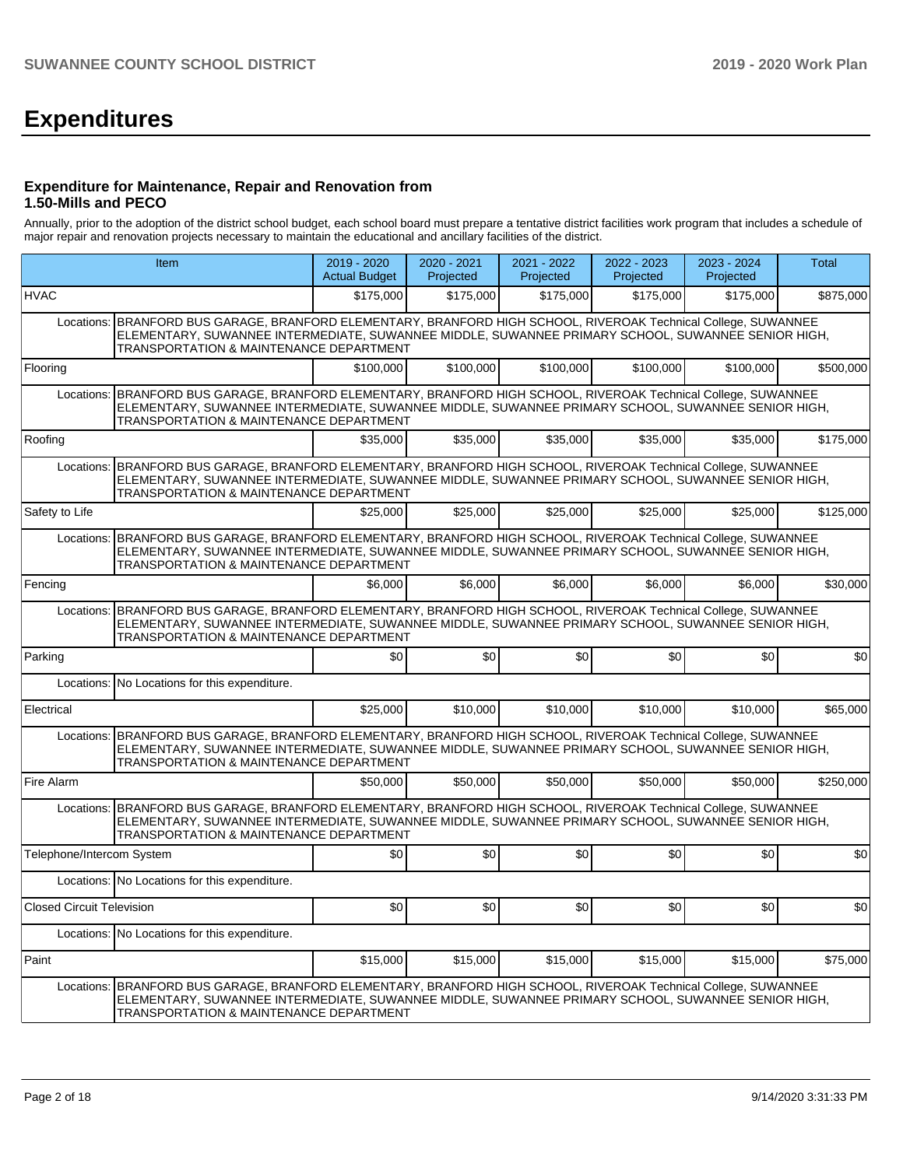# **Expenditures**

#### **Expenditure for Maintenance, Repair and Renovation from 1.50-Mills and PECO**

Annually, prior to the adoption of the district school budget, each school board must prepare a tentative district facilities work program that includes a schedule of major repair and renovation projects necessary to maintain the educational and ancillary facilities of the district.

|                                  | Item                                                                                                                                                                                                                                                                        | 2019 - 2020<br><b>Actual Budget</b> | 2020 - 2021<br>Projected | 2021 - 2022<br>Projected | 2022 - 2023<br>Projected | 2023 - 2024<br>Projected | <b>Total</b> |  |  |
|----------------------------------|-----------------------------------------------------------------------------------------------------------------------------------------------------------------------------------------------------------------------------------------------------------------------------|-------------------------------------|--------------------------|--------------------------|--------------------------|--------------------------|--------------|--|--|
| <b>HVAC</b>                      |                                                                                                                                                                                                                                                                             | \$175,000                           | \$175,000                | \$175,000                | \$175,000                | \$175,000                | \$875,000    |  |  |
|                                  | Locations: BRANFORD BUS GARAGE, BRANFORD ELEMENTARY, BRANFORD HIGH SCHOOL, RIVEROAK Technical College, SUWANNEE<br>ELEMENTARY, SUWANNEE INTERMEDIATE, SUWANNEE MIDDLE, SUWANNEE PRIMARY SCHOOL, SUWANNEE SENIOR HIGH,<br><b>TRANSPORTATION &amp; MAINTENANCE DEPARTMENT</b> |                                     |                          |                          |                          |                          |              |  |  |
| Flooring                         |                                                                                                                                                                                                                                                                             | \$100,000                           | \$100,000                | \$100,000                | \$100,000                | \$100,000                | \$500,000    |  |  |
|                                  | Locations: BRANFORD BUS GARAGE, BRANFORD ELEMENTARY, BRANFORD HIGH SCHOOL, RIVEROAK Technical College, SUWANNEE<br>ELEMENTARY, SUWANNEE INTERMEDIATE, SUWANNEE MIDDLE, SUWANNEE PRIMARY SCHOOL, SUWANNEE SENIOR HIGH,<br>TRANSPORTATION & MAINTENANCE DEPARTMENT            |                                     |                          |                          |                          |                          |              |  |  |
| Roofing                          |                                                                                                                                                                                                                                                                             | \$35,000                            | \$35,000                 | \$35,000                 | \$35,000                 | \$35,000                 | \$175,000    |  |  |
|                                  | Locations: BRANFORD BUS GARAGE, BRANFORD ELEMENTARY, BRANFORD HIGH SCHOOL, RIVEROAK Technical College, SUWANNEE<br>ELEMENTARY, SUWANNEE INTERMEDIATE, SUWANNEE MIDDLE, SUWANNEE PRIMARY SCHOOL, SUWANNEE SENIOR HIGH,<br><b>TRANSPORTATION &amp; MAINTENANCE DEPARTMENT</b> |                                     |                          |                          |                          |                          |              |  |  |
| Safety to Life                   |                                                                                                                                                                                                                                                                             | \$25,000                            | \$25,000                 | \$25,000                 | \$25,000                 | \$25,000                 | \$125,000    |  |  |
| Locations:                       | BRANFORD BUS GARAGE, BRANFORD ELEMENTARY, BRANFORD HIGH SCHOOL, RIVEROAK Technical College, SUWANNEE<br>ELEMENTARY, SUWANNEE INTERMEDIATE, SUWANNEE MIDDLE, SUWANNEE PRIMARY SCHOOL, SUWANNEE SENIOR HIGH,<br>TRANSPORTATION & MAINTENANCE DEPARTMENT                       |                                     |                          |                          |                          |                          |              |  |  |
| Fencing                          |                                                                                                                                                                                                                                                                             | \$6,000                             | \$6,000                  | \$6,000                  | \$6,000                  | \$6,000                  | \$30,000     |  |  |
| Locations:                       | BRANFORD BUS GARAGE, BRANFORD ELEMENTARY, BRANFORD HIGH SCHOOL, RIVEROAK Technical College, SUWANNEE<br>ELEMENTARY, SUWANNEE INTERMEDIATE, SUWANNEE MIDDLE, SUWANNEE PRIMARY SCHOOL, SUWANNEE SENIOR HIGH,<br>TRANSPORTATION & MAINTENANCE DEPARTMENT                       |                                     |                          |                          |                          |                          |              |  |  |
| Parking                          |                                                                                                                                                                                                                                                                             | \$0                                 | \$0                      | \$0                      | \$0                      | \$0                      | \$0          |  |  |
|                                  | Locations: No Locations for this expenditure.                                                                                                                                                                                                                               |                                     |                          |                          |                          |                          |              |  |  |
| Electrical                       |                                                                                                                                                                                                                                                                             | \$25,000                            | \$10,000                 | \$10,000                 | \$10,000                 | \$10,000                 | \$65,000     |  |  |
| Locations:                       | BRANFORD BUS GARAGE, BRANFORD ELEMENTARY, BRANFORD HIGH SCHOOL, RIVEROAK Technical College, SUWANNEE<br>ELEMENTARY, SUWANNEE INTERMEDIATE, SUWANNEE MIDDLE, SUWANNEE PRIMARY SCHOOL, SUWANNEE SENIOR HIGH,<br><b>TRANSPORTATION &amp; MAINTENANCE DEPARTMENT</b>            |                                     |                          |                          |                          |                          |              |  |  |
| Fire Alarm                       |                                                                                                                                                                                                                                                                             | \$50,000                            | \$50,000                 | \$50,000                 | \$50,000                 | \$50,000                 | \$250,000    |  |  |
|                                  | Locations: BRANFORD BUS GARAGE, BRANFORD ELEMENTARY, BRANFORD HIGH SCHOOL, RIVEROAK Technical College, SUWANNEE<br>ELEMENTARY, SUWANNEE INTERMEDIATE, SUWANNEE MIDDLE, SUWANNEE PRIMARY SCHOOL, SUWANNEE SENIOR HIGH,<br>TRANSPORTATION & MAINTENANCE DEPARTMENT            |                                     |                          |                          |                          |                          |              |  |  |
| Telephone/Intercom System        |                                                                                                                                                                                                                                                                             | \$0                                 | \$0                      | \$0                      | \$0                      | \$0                      | \$0          |  |  |
|                                  | Locations: No Locations for this expenditure.                                                                                                                                                                                                                               |                                     |                          |                          |                          |                          |              |  |  |
| <b>Closed Circuit Television</b> |                                                                                                                                                                                                                                                                             | \$0                                 | \$0 <sub>1</sub>         | \$0                      | \$0 <sub>1</sub>         | \$0                      | \$0          |  |  |
|                                  | Locations: No Locations for this expenditure.                                                                                                                                                                                                                               |                                     |                          |                          |                          |                          |              |  |  |
| Paint                            |                                                                                                                                                                                                                                                                             | \$15,000                            | \$15,000                 | \$15,000                 | \$15,000                 | \$15,000                 | \$75,000     |  |  |
|                                  | Locations: BRANFORD BUS GARAGE, BRANFORD ELEMENTARY, BRANFORD HIGH SCHOOL, RIVEROAK Technical College, SUWANNEE<br>ELEMENTARY, SUWANNEE INTERMEDIATE, SUWANNEE MIDDLE, SUWANNEE PRIMARY SCHOOL, SUWANNEE SENIOR HIGH,<br><b>TRANSPORTATION &amp; MAINTENANCE DEPARTMENT</b> |                                     |                          |                          |                          |                          |              |  |  |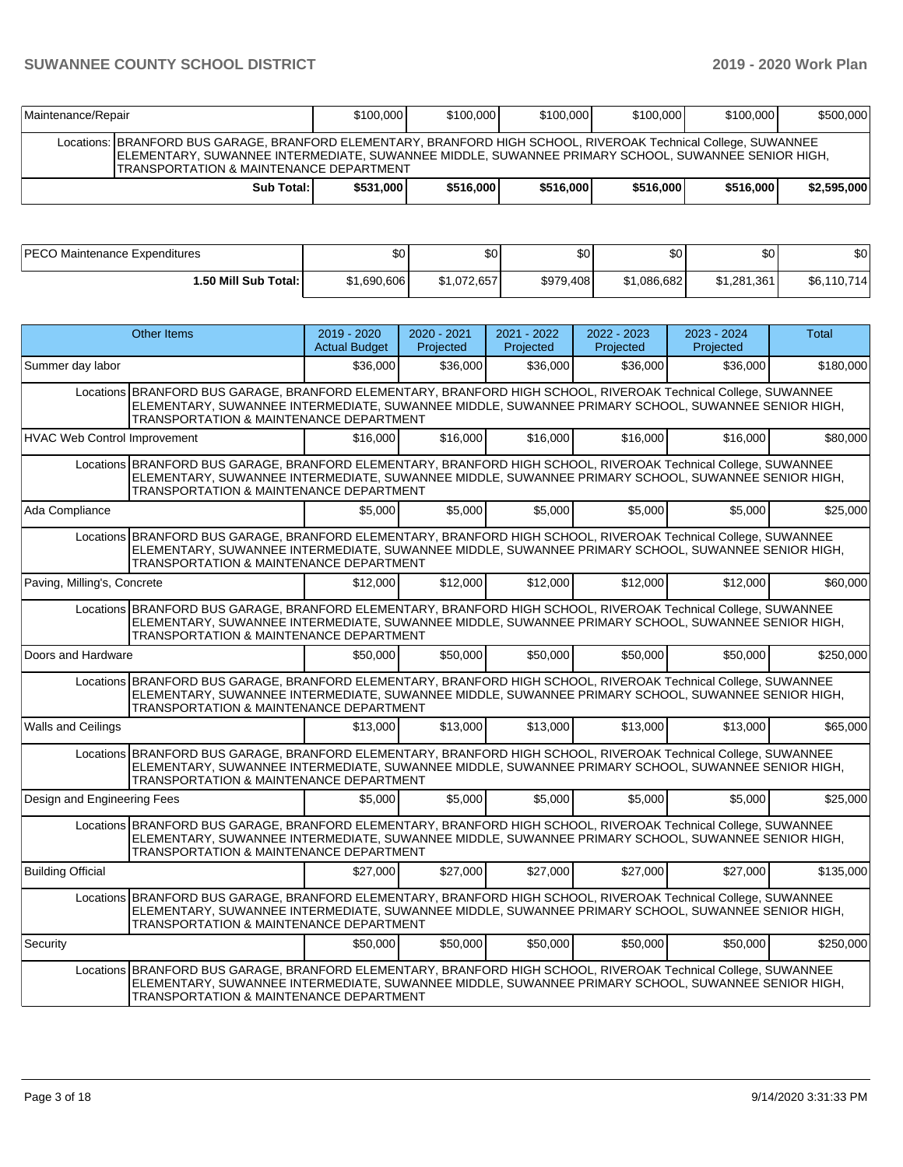| Maintenance/Repair                                                                                                                                                                                                                                                |            | \$100,000 | \$100,000 | \$100.000 | \$100,000 | \$100,000 | \$500,000   |
|-------------------------------------------------------------------------------------------------------------------------------------------------------------------------------------------------------------------------------------------------------------------|------------|-----------|-----------|-----------|-----------|-----------|-------------|
| Locations: BRANFORD BUS GARAGE, BRANFORD ELEMENTARY, BRANFORD HIGH SCHOOL, RIVEROAK Technical College, SUWANNEE<br>IELEMENTARY, SUWANNEE INTERMEDIATE, SUWANNEE MIDDLE, SUWANNEE PRIMARY SCHOOL, SUWANNEE SENIOR HIGH,<br>TRANSPORTATION & MAINTENANCE DEPARTMENT |            |           |           |           |           |           |             |
|                                                                                                                                                                                                                                                                   | Sub Total: | \$531,000 | \$516,000 | \$516,000 | \$516,000 | \$516,000 | \$2.595.000 |

| PECO Maintenance Expenditures | \$0         | ጦ<br>Ψ      | ጥጣ<br>æυ  | ሶሳ<br>υU    | \$0         | ድሰ<br>JU.    |
|-------------------------------|-------------|-------------|-----------|-------------|-------------|--------------|
| 1.50 Mill Sub Total:          | \$1,690,606 | \$1,072,657 | \$979,408 | \$1,086,682 | \$1.281.361 | \$6,110,714] |

| <b>Other Items</b>                                                                                               |                                                                                                                                               | $2019 - 2020$<br><b>Actual Budget</b> | 2020 - 2021<br>Projected | 2021 - 2022<br>Projected | 2022 - 2023<br>Projected | 2023 - 2024<br>Projected | Total     |
|------------------------------------------------------------------------------------------------------------------|-----------------------------------------------------------------------------------------------------------------------------------------------|---------------------------------------|--------------------------|--------------------------|--------------------------|--------------------------|-----------|
| Summer day labor                                                                                                 |                                                                                                                                               | \$36,000                              | \$36,000                 | \$36,000                 | \$36,000                 | \$36,000                 | \$180,000 |
| Locations BRANFORD BUS GARAGE, BRANFORD ELEMENTARY, BRANFORD HIGH SCHOOL, RIVEROAK Technical College, SUWANNEE   | ELEMENTARY, SUWANNEE INTERMEDIATE, SUWANNEE MIDDLE, SUWANNEE PRIMARY SCHOOL, SUWANNEE SENIOR HIGH,<br>TRANSPORTATION & MAINTENANCE DEPARTMENT |                                       |                          |                          |                          |                          |           |
| HVAC Web Control Improvement                                                                                     |                                                                                                                                               | \$16,000                              | \$16,000                 | \$16,000                 | \$16,000                 | \$16,000                 | \$80,000  |
| Locations BRANFORD BUS GARAGE, BRANFORD ELEMENTARY, BRANFORD HIGH SCHOOL, RIVEROAK Technical College, SUWANNEE   | ELEMENTARY, SUWANNEE INTERMEDIATE, SUWANNEE MIDDLE, SUWANNEE PRIMARY SCHOOL, SUWANNEE SENIOR HIGH,<br>TRANSPORTATION & MAINTENANCE DEPARTMENT |                                       |                          |                          |                          |                          |           |
| Ada Compliance                                                                                                   |                                                                                                                                               | \$5.000                               | \$5,000                  | \$5,000                  | \$5,000                  | \$5,000                  | \$25,000  |
| Locations   BRANFORD BUS GARAGE, BRANFORD ELEMENTARY, BRANFORD HIGH SCHOOL, RIVEROAK Technical College, SUWANNEE | ELEMENTARY, SUWANNEE INTERMEDIATE, SUWANNEE MIDDLE, SUWANNEE PRIMARY SCHOOL, SUWANNĚE SENIOR HIGH,<br>TRANSPORTATION & MAINTENANCE DEPARTMENT |                                       |                          |                          |                          |                          |           |
| Paving, Milling's, Concrete                                                                                      |                                                                                                                                               | \$12,000                              | \$12,000                 | \$12,000                 | \$12,000                 | \$12,000                 | \$60,000  |
| Locations BRANFORD BUS GARAGE, BRANFORD ELEMENTARY, BRANFORD HIGH SCHOOL, RIVEROAK Technical College, SUWANNEE   | ELEMENTARY, SUWANNEE INTERMEDIATE, SUWANNEE MIDDLE, SUWANNEE PRIMARY SCHOOL, SUWANNEE SENIOR HIGH,<br>TRANSPORTATION & MAINTENANCE DEPARTMENT |                                       |                          |                          |                          |                          |           |
| Doors and Hardware                                                                                               |                                                                                                                                               | \$50,000                              | \$50,000                 | \$50,000                 | \$50,000                 | \$50,000                 | \$250,000 |
| Locations BRANFORD BUS GARAGE, BRANFORD ELEMENTARY, BRANFORD HIGH SCHOOL, RIVEROAK Technical College, SUWANNEE   | ELEMENTARY, SUWANNEE INTERMEDIATE, SUWANNEE MIDDLE, SUWANNEE PRIMARY SCHOOL, SUWANNEE SENIOR HIGH,<br>TRANSPORTATION & MAINTENANCE DEPARTMENT |                                       |                          |                          |                          |                          |           |
| <b>Walls and Ceilings</b>                                                                                        |                                                                                                                                               | \$13,000                              | \$13,000                 | \$13,000                 | \$13,000                 | \$13,000                 | \$65,000  |
| Locations BRANFORD BUS GARAGE, BRANFORD ELEMENTARY, BRANFORD HIGH SCHOOL, RIVEROAK Technical College, SUWANNEE   | ELEMENTARY, SUWANNEE INTERMEDIATE, SUWANNEE MIDDLE, SUWANNEE PRIMARY SCHOOL, SUWANNEE SENIOR HIGH,<br>TRANSPORTATION & MAINTENANCE DEPARTMENT |                                       |                          |                          |                          |                          |           |
| Design and Engineering Fees                                                                                      |                                                                                                                                               | \$5.000                               | \$5,000                  | \$5,000                  | \$5,000                  | \$5,000                  | \$25,000  |
| Locations BRANFORD BUS GARAGE, BRANFORD ELEMENTARY, BRANFORD HIGH SCHOOL, RIVEROAK Technical College, SUWANNEE   | ELEMENTARY, SUWANNEE INTERMEDIATE, SUWANNEE MIDDLE, SUWANNEE PRIMARY SCHOOL, SUWANNEE SENIOR HIGH,<br>TRANSPORTATION & MAINTENANCE DEPARTMENT |                                       |                          |                          |                          |                          |           |
| <b>Building Official</b>                                                                                         |                                                                                                                                               | \$27,000                              | \$27,000                 | \$27,000                 | \$27,000                 | \$27,000                 | \$135.000 |
| Locations BRANFORD BUS GARAGE, BRANFORD ELEMENTARY, BRANFORD HIGH SCHOOL, RIVEROAK Technical College, SUWANNEE   | ELEMENTARY, SUWANNEE INTERMEDIATE, SUWANNEE MIDDLE, SUWANNEE PRIMARY SCHOOL, SUWANNEE SENIOR HIGH,<br>TRANSPORTATION & MAINTENANCE DEPARTMENT |                                       |                          |                          |                          |                          |           |
| Security                                                                                                         |                                                                                                                                               | \$50,000                              | \$50,000                 | \$50,000                 | \$50,000                 | \$50,000                 | \$250.000 |
| Locations BRANFORD BUS GARAGE, BRANFORD ELEMENTARY, BRANFORD HIGH SCHOOL, RIVEROAK Technical College, SUWANNEE   | ELEMENTARY, SUWANNEE INTERMEDIATE, SUWANNEE MIDDLE, SUWANNEE PRIMARY SCHOOL, SUWANNEE SENIOR HIGH,<br>TRANSPORTATION & MAINTENANCE DEPARTMENT |                                       |                          |                          |                          |                          |           |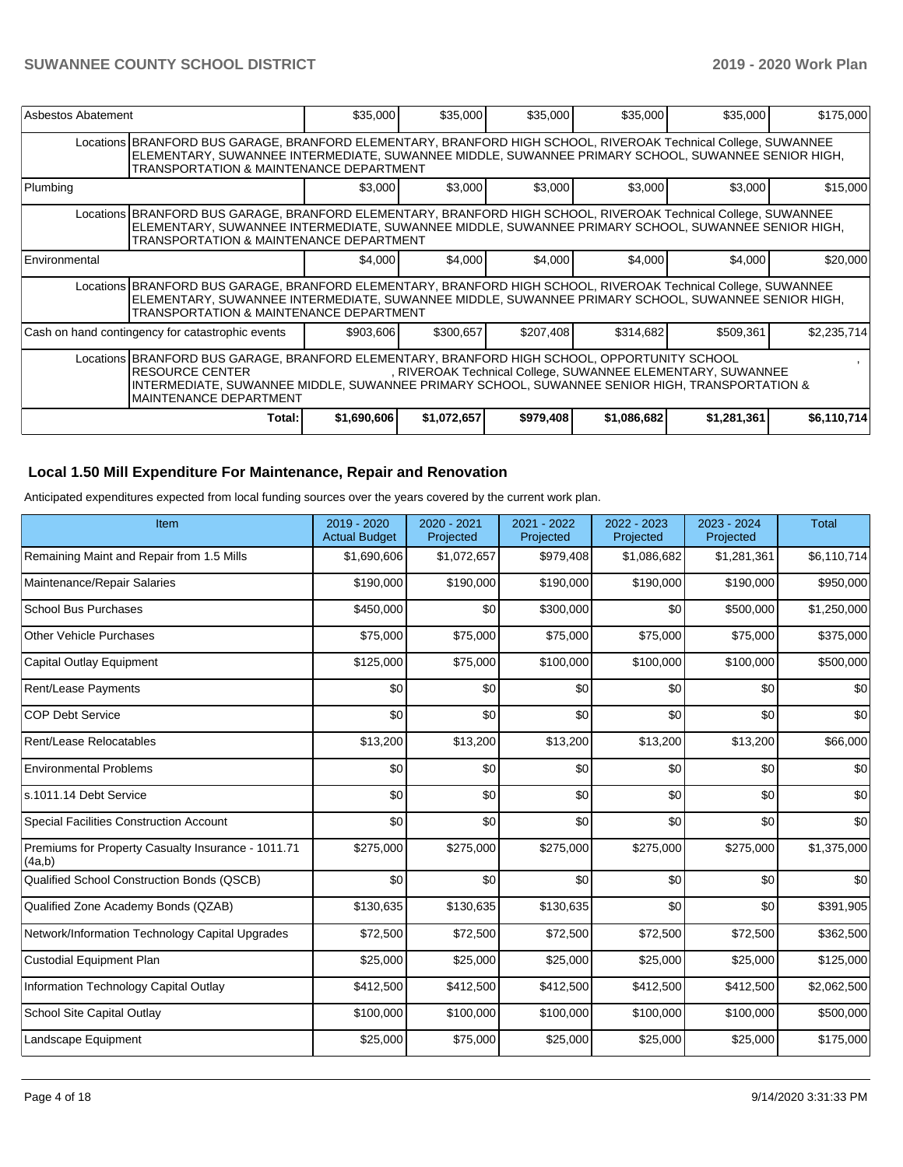| Asbestos Abatement                                                                                                                                                                                                                                                                                                        |                                                                                                                                                                                                                                                                            | \$35,000    | \$35,000    | \$35,000  | \$35,000    | \$35,000    | \$175,000   |  |
|---------------------------------------------------------------------------------------------------------------------------------------------------------------------------------------------------------------------------------------------------------------------------------------------------------------------------|----------------------------------------------------------------------------------------------------------------------------------------------------------------------------------------------------------------------------------------------------------------------------|-------------|-------------|-----------|-------------|-------------|-------------|--|
|                                                                                                                                                                                                                                                                                                                           | Locations BRANFORD BUS GARAGE, BRANFORD ELEMENTARY, BRANFORD HIGH SCHOOL, RIVEROAK Technical College, SUWANNEE<br>ELEMENTARY, SUWANNEE INTERMEDIATE, SUWANNEE MIDDLE, SUWANNEE PRIMARY SCHOOL, SUWANNEE SENIOR HIGH,<br><b>TRANSPORTATION &amp; MAINTENANCE DEPARTMENT</b> |             |             |           |             |             |             |  |
| Plumbing                                                                                                                                                                                                                                                                                                                  |                                                                                                                                                                                                                                                                            | \$3,000     | \$3,000     | \$3,000   | \$3,000     | \$3,000     | \$15,000    |  |
|                                                                                                                                                                                                                                                                                                                           | Locations BRANFORD BUS GARAGE, BRANFORD ELEMENTARY, BRANFORD HIGH SCHOOL, RIVEROAK Technical College, SUWANNEE<br>ELEMENTARY, SUWANNEE INTERMEDIATE, SUWANNEE MIDDLE, SUWANNEE PRIMARY SCHOOL, SUWANNEE SENIOR HIGH,<br><b>TRANSPORTATION &amp; MAINTENANCE DEPARTMENT</b> |             |             |           |             |             |             |  |
| Environmental                                                                                                                                                                                                                                                                                                             |                                                                                                                                                                                                                                                                            | \$4,000     | \$4,000     | \$4,000   | \$4,000     | \$4,000     | \$20,000    |  |
|                                                                                                                                                                                                                                                                                                                           | Locations BRANFORD BUS GARAGE, BRANFORD ELEMENTARY, BRANFORD HIGH SCHOOL, RIVEROAK Technical College, SUWANNEE<br>ELEMENTARY, SUWANNEE INTERMEDIATE, SUWANNEE MIDDLE, SUWANNEE PRIMARY SCHOOL, SUWANNEE SENIOR HIGH,<br><b>TRANSPORTATION &amp; MAINTENANCE DEPARTMENT</b> |             |             |           |             |             |             |  |
|                                                                                                                                                                                                                                                                                                                           | Cash on hand contingency for catastrophic events                                                                                                                                                                                                                           | \$903,606   | \$300,657   | \$207,408 | \$314,682   | \$509,361   | \$2,235,714 |  |
| Locations BRANFORD BUS GARAGE, BRANFORD ELEMENTARY, BRANFORD HIGH SCHOOL, OPPORTUNITY SCHOOL<br><b>RESOURCE CENTER</b><br>, RIVEROAK Technical College, SUWANNEE ELEMENTARY, SUWANNEE<br>INTERMEDIATE, SUWANNEE MIDDLE, SUWANNEE PRIMARY SCHOOL, SUWANNEE SENIOR HIGH, TRANSPORTATION &<br><b>IMAINTENANCE DEPARTMENT</b> |                                                                                                                                                                                                                                                                            |             |             |           |             |             |             |  |
|                                                                                                                                                                                                                                                                                                                           | Total:                                                                                                                                                                                                                                                                     | \$1,690,606 | \$1,072,657 | \$979,408 | \$1,086,682 | \$1,281,361 | \$6,110,714 |  |

#### **Local 1.50 Mill Expenditure For Maintenance, Repair and Renovation**

Anticipated expenditures expected from local funding sources over the years covered by the current work plan.

| Item                                                         | $2019 - 2020$<br><b>Actual Budget</b> | 2020 - 2021<br>Projected | 2021 - 2022<br>Projected | 2022 - 2023<br>Projected | 2023 - 2024<br>Projected | <b>Total</b> |
|--------------------------------------------------------------|---------------------------------------|--------------------------|--------------------------|--------------------------|--------------------------|--------------|
| Remaining Maint and Repair from 1.5 Mills                    | \$1,690,606                           | \$1,072,657              | \$979,408                | \$1,086,682              | \$1,281,361              | \$6,110,714  |
| Maintenance/Repair Salaries                                  | \$190,000                             | \$190,000                | \$190,000                | \$190,000                | \$190,000                | \$950,000    |
| <b>School Bus Purchases</b>                                  | \$450,000                             | \$0                      | \$300,000                | \$0                      | \$500,000                | \$1,250,000  |
| <b>Other Vehicle Purchases</b>                               | \$75,000                              | \$75,000                 | \$75,000                 | \$75,000                 | \$75,000                 | \$375,000    |
| Capital Outlay Equipment                                     | \$125,000                             | \$75,000                 | \$100,000                | \$100,000                | \$100,000                | \$500,000    |
| Rent/Lease Payments                                          | \$0                                   | \$0                      | \$0                      | \$0                      | \$0                      | \$0          |
| <b>COP Debt Service</b>                                      | \$0                                   | \$0                      | \$0                      | \$0                      | \$0                      | \$0          |
| Rent/Lease Relocatables                                      | \$13,200                              | \$13,200                 | \$13,200                 | \$13,200                 | \$13,200                 | \$66,000     |
| <b>Environmental Problems</b>                                | \$0                                   | \$0                      | \$0                      | \$0                      | \$0                      | \$0          |
| ls.1011.14 Debt Service                                      | \$0                                   | \$0                      | \$0                      | \$0                      | \$0                      | \$0          |
| <b>Special Facilities Construction Account</b>               | \$0                                   | \$0                      | \$0                      | \$0                      | \$0                      | \$0          |
| Premiums for Property Casualty Insurance - 1011.71<br>(4a,b) | \$275,000                             | \$275,000                | \$275,000                | \$275,000                | \$275,000                | \$1,375,000  |
| Qualified School Construction Bonds (QSCB)                   | \$0                                   | \$0                      | \$0                      | \$0                      | \$0                      | \$0          |
| Qualified Zone Academy Bonds (QZAB)                          | \$130,635                             | \$130,635                | \$130,635                | \$0                      | \$0                      | \$391,905    |
| Network/Information Technology Capital Upgrades              | \$72,500                              | \$72,500                 | \$72,500                 | \$72,500                 | \$72,500                 | \$362,500    |
| <b>Custodial Equipment Plan</b>                              | \$25,000                              | \$25,000                 | \$25,000                 | \$25,000                 | \$25,000                 | \$125,000    |
| Information Technology Capital Outlay                        | \$412,500                             | \$412,500                | \$412,500                | \$412,500                | \$412,500                | \$2,062,500  |
| School Site Capital Outlay                                   | \$100,000                             | \$100,000                | \$100,000                | \$100,000                | \$100,000                | \$500,000    |
| Landscape Equipment                                          | \$25,000                              | \$75,000                 | \$25,000                 | \$25,000                 | \$25,000                 | \$175,000    |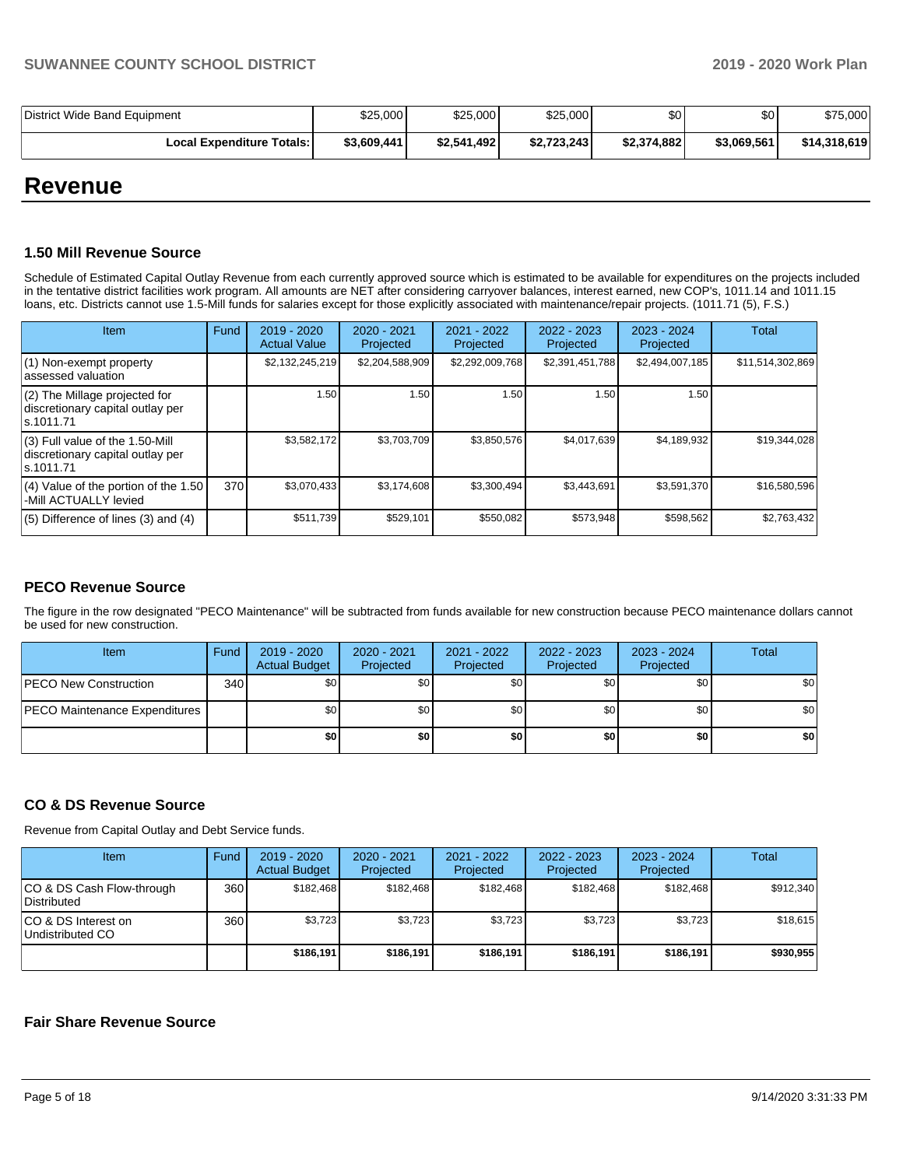| District Wide Band Equipment | \$25,000    | \$25,000    | \$25,000    | \$0         | \$0         | \$75,000     |
|------------------------------|-------------|-------------|-------------|-------------|-------------|--------------|
| Local Expenditure Totals: I  | \$3,609,441 | \$2,541,492 | \$2.723.243 | \$2,374,882 | \$3.069.561 | \$14,318,619 |

## **Revenue**

#### **1.50 Mill Revenue Source**

Schedule of Estimated Capital Outlay Revenue from each currently approved source which is estimated to be available for expenditures on the projects included in the tentative district facilities work program. All amounts are NET after considering carryover balances, interest earned, new COP's, 1011.14 and 1011.15 loans, etc. Districts cannot use 1.5-Mill funds for salaries except for those explicitly associated with maintenance/repair projects. (1011.71 (5), F.S.)

| Item                                                                                | Fund | 2019 - 2020<br><b>Actual Value</b> | $2020 - 2021$<br>Projected | $2021 - 2022$<br>Projected | $2022 - 2023$<br>Projected | $2023 - 2024$<br>Projected | <b>Total</b>     |
|-------------------------------------------------------------------------------------|------|------------------------------------|----------------------------|----------------------------|----------------------------|----------------------------|------------------|
| (1) Non-exempt property<br>lassessed valuation                                      |      | \$2,132,245,219                    | \$2,204,588,909            | \$2,292,009,768            | \$2,391,451,788            | \$2,494,007,185            | \$11,514,302,869 |
| $(2)$ The Millage projected for<br>discretionary capital outlay per<br>ls.1011.71   |      | 1.50                               | 1.50                       | 1.50                       | 1.50                       | 1.50                       |                  |
| $(3)$ Full value of the 1.50-Mill<br>discretionary capital outlay per<br>ls.1011.71 |      | \$3,582,172                        | \$3,703,709                | \$3,850,576                | \$4,017,639                | \$4,189,932                | \$19,344,028     |
| $(4)$ Value of the portion of the 1.50<br>-Mill ACTUALLY levied                     | 370  | \$3,070,433                        | \$3,174,608                | \$3,300,494                | \$3,443,691                | \$3,591,370                | \$16,580,596     |
| $(5)$ Difference of lines $(3)$ and $(4)$                                           |      | \$511,739                          | \$529,101                  | \$550,082                  | \$573,948                  | \$598,562                  | \$2,763,432      |

#### **PECO Revenue Source**

The figure in the row designated "PECO Maintenance" will be subtracted from funds available for new construction because PECO maintenance dollars cannot be used for new construction.

| <b>Item</b>                          | Fund         | 2019 - 2020<br><b>Actual Budget</b> | 2020 - 2021<br>Projected | 2021 - 2022<br>Projected | 2022 - 2023<br>Projected | 2023 - 2024<br>Projected | <b>Total</b> |
|--------------------------------------|--------------|-------------------------------------|--------------------------|--------------------------|--------------------------|--------------------------|--------------|
| <b>PECO New Construction</b>         | 340 <b>I</b> | \$0                                 | \$0                      | \$0 <sub>1</sub>         | \$0                      | \$0                      | \$0          |
| <b>PECO Maintenance Expenditures</b> |              | \$0                                 | \$0                      | \$0                      | \$0                      | \$0                      | \$0          |
|                                      |              | \$0                                 | \$0                      | \$0                      | \$0                      | \$0                      | \$0          |

#### **CO & DS Revenue Source**

Revenue from Capital Outlay and Debt Service funds.

| Item                                      | Fund | $2019 - 2020$<br><b>Actual Budget</b> | $2020 - 2021$<br>Projected | $2021 - 2022$<br>Projected | $2022 - 2023$<br>Projected | $2023 - 2024$<br>Projected | Total     |
|-------------------------------------------|------|---------------------------------------|----------------------------|----------------------------|----------------------------|----------------------------|-----------|
| ICO & DS Cash Flow-through<br>Distributed | 360  | \$182.468                             | \$182.468                  | \$182.468                  | \$182.468                  | \$182.468                  | \$912.340 |
| ICO & DS Interest on<br>Undistributed CO  | 360  | \$3.723                               | \$3,723                    | \$3.723                    | \$3.723                    | \$3.723                    | \$18,615  |
|                                           |      | \$186,191                             | \$186,191                  | \$186.191                  | \$186.191                  | \$186.191                  | \$930.955 |

#### **Fair Share Revenue Source**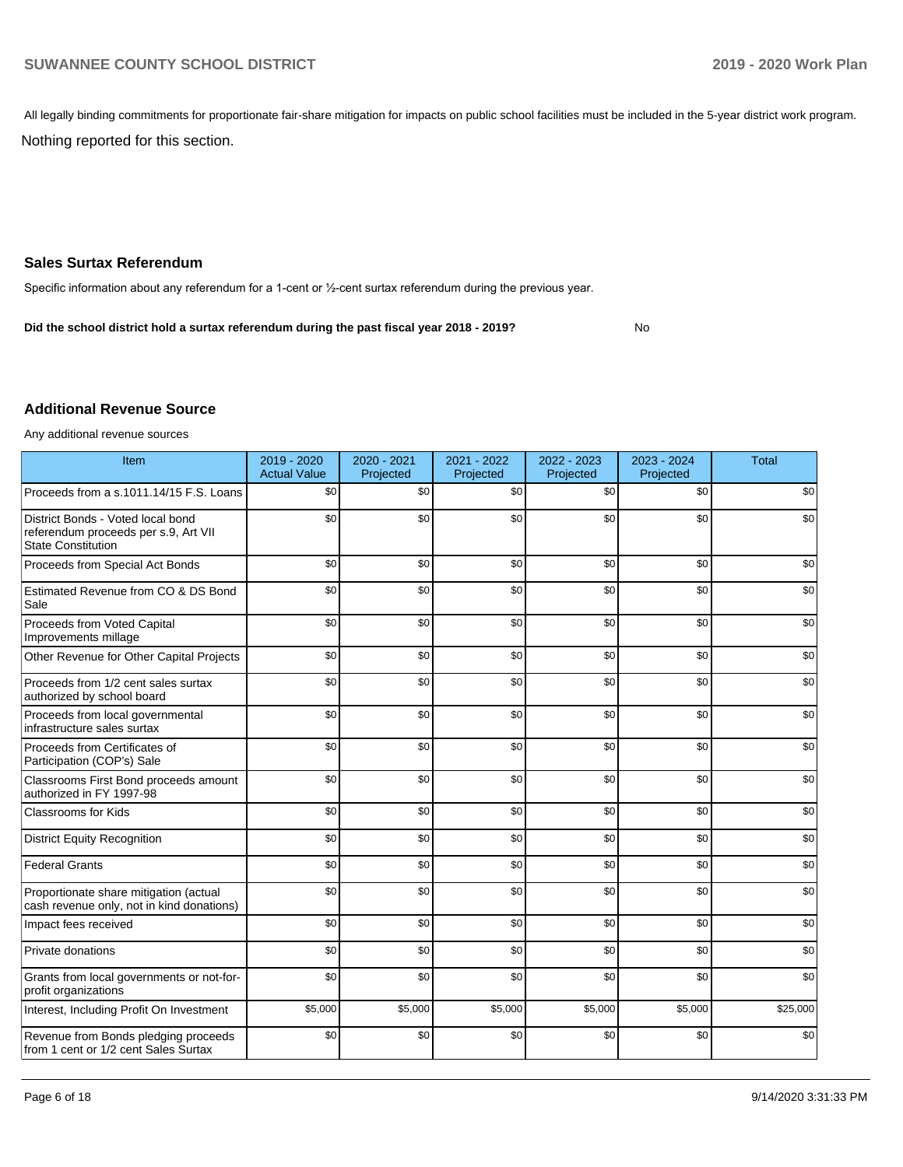All legally binding commitments for proportionate fair-share mitigation for impacts on public school facilities must be included in the 5-year district work program.

Nothing reported for this section.

#### **Sales Surtax Referendum**

Specific information about any referendum for a 1-cent or ½-cent surtax referendum during the previous year.

No **Did the school district hold a surtax referendum during the past fiscal year 2018 - 2019?**

#### **Additional Revenue Source**

Any additional revenue sources

| Item                                                                                                   | 2019 - 2020<br><b>Actual Value</b> | 2020 - 2021<br>Projected | 2021 - 2022<br>Projected | 2022 - 2023<br>Projected | 2023 - 2024<br>Projected | <b>Total</b> |
|--------------------------------------------------------------------------------------------------------|------------------------------------|--------------------------|--------------------------|--------------------------|--------------------------|--------------|
| Proceeds from a s.1011.14/15 F.S. Loans                                                                | \$0                                | \$0                      | \$0                      | \$0                      | \$0                      | \$0          |
| District Bonds - Voted local bond<br>referendum proceeds per s.9, Art VII<br><b>State Constitution</b> | \$0                                | \$0                      | \$0                      | \$0                      | \$0                      | \$0          |
| Proceeds from Special Act Bonds                                                                        | \$0                                | \$0                      | \$0                      | \$0                      | \$0                      | \$0          |
| Estimated Revenue from CO & DS Bond<br>Sale                                                            | \$0                                | \$0                      | \$0                      | \$0                      | \$0                      | \$0          |
| Proceeds from Voted Capital<br>Improvements millage                                                    | \$0                                | \$0                      | \$0                      | \$0                      | \$0                      | \$0          |
| Other Revenue for Other Capital Projects                                                               | \$0                                | \$0                      | \$0                      | \$0                      | \$0                      | \$0          |
| Proceeds from 1/2 cent sales surtax<br>authorized by school board                                      | \$0                                | \$0                      | \$0                      | \$0                      | \$0                      | \$0          |
| Proceeds from local governmental<br>infrastructure sales surtax                                        | \$0                                | \$0                      | \$0                      | \$0                      | \$0                      | \$0          |
| Proceeds from Certificates of<br>Participation (COP's) Sale                                            | \$0                                | \$0                      | \$0                      | \$0                      | \$0                      | \$0          |
| Classrooms First Bond proceeds amount<br>authorized in FY 1997-98                                      | \$0                                | \$0                      | \$0                      | \$0                      | \$0                      | \$0          |
| <b>Classrooms for Kids</b>                                                                             | \$0                                | \$0                      | \$0                      | \$0                      | \$0                      | \$0          |
| <b>District Equity Recognition</b>                                                                     | \$0                                | \$0                      | \$0                      | \$0                      | \$0                      | \$0          |
| <b>Federal Grants</b>                                                                                  | \$0                                | \$0                      | \$0                      | \$0                      | \$0                      | \$0          |
| Proportionate share mitigation (actual<br>cash revenue only, not in kind donations)                    | \$0                                | \$0                      | \$0                      | \$0                      | \$0                      | \$0          |
| Impact fees received                                                                                   | \$0                                | \$0                      | \$0                      | \$0                      | \$0                      | \$0          |
| Private donations                                                                                      | \$0                                | \$0                      | \$0                      | \$0                      | \$0                      | \$0          |
| Grants from local governments or not-for-<br>profit organizations                                      | \$0                                | \$0                      | \$0                      | \$0                      | \$0                      | \$0          |
| Interest, Including Profit On Investment                                                               | \$5,000                            | \$5,000                  | \$5,000                  | \$5,000                  | \$5,000                  | \$25,000     |
| Revenue from Bonds pledging proceeds<br>from 1 cent or 1/2 cent Sales Surtax                           | \$0                                | \$0                      | \$0                      | \$0                      | \$0                      | \$0          |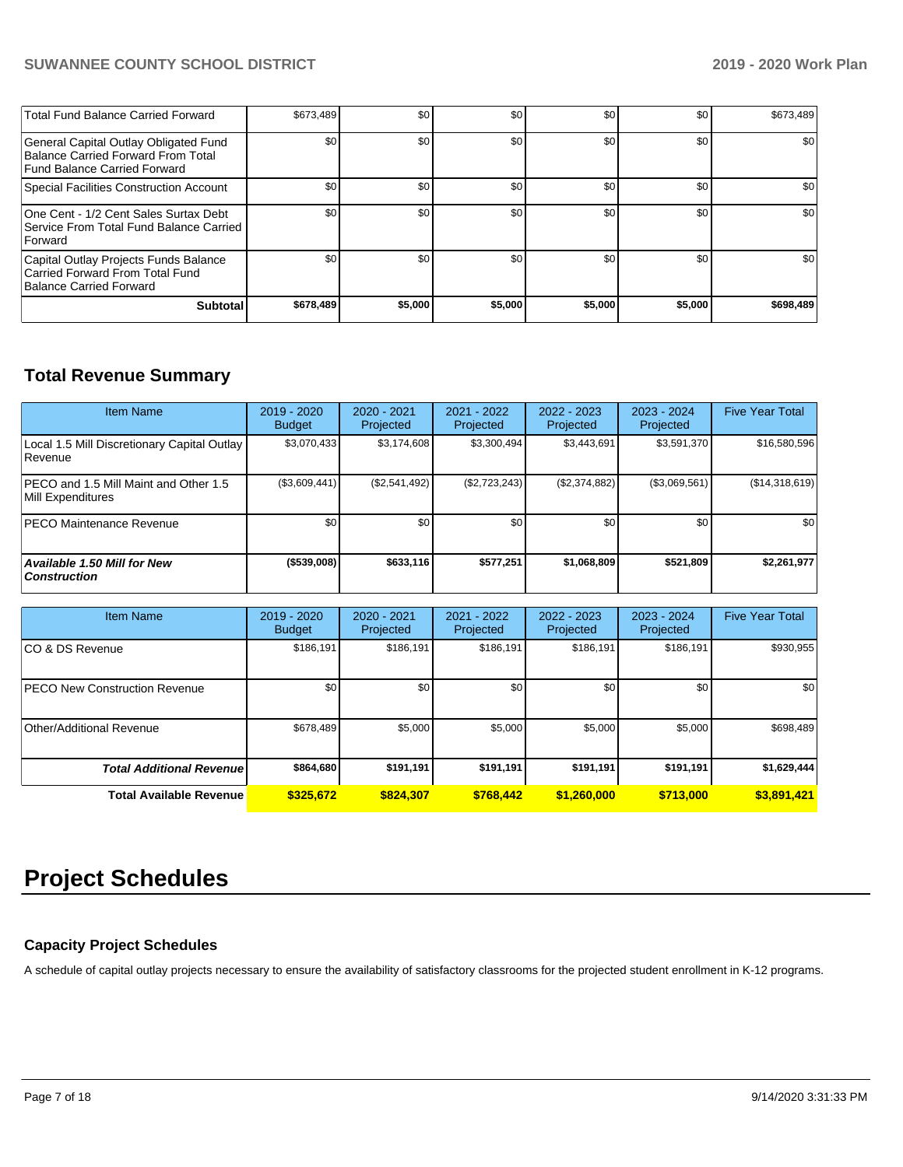| Total Fund Balance Carried Forward                                                                          | \$673.489 | \$0     | \$0     | \$0     | \$0     | \$673,489 |
|-------------------------------------------------------------------------------------------------------------|-----------|---------|---------|---------|---------|-----------|
| General Capital Outlay Obligated Fund<br>Balance Carried Forward From Total<br>Fund Balance Carried Forward | \$0       | \$0     | \$0     | \$0     | \$0     | \$0       |
| Special Facilities Construction Account                                                                     | \$0       | \$0     | \$0     | \$0     | \$0     | \$0       |
| One Cent - 1/2 Cent Sales Surtax Debt<br>l Service From Total Fund Balance Carried<br><b>Forward</b>        | \$0       | \$0     | \$0     | \$0     | \$0     | \$0       |
| Capital Outlay Projects Funds Balance<br>Carried Forward From Total Fund<br>Balance Carried Forward         | \$0       | \$0     | \$0     | \$0     | \$0     | \$0       |
| <b>Subtotal</b>                                                                                             | \$678,489 | \$5,000 | \$5.000 | \$5,000 | \$5,000 | \$698,489 |

## **Total Revenue Summary**

| <b>Item Name</b>                                           | 2019 - 2020<br><b>Budget</b> | 2020 - 2021<br>Projected | 2021 - 2022<br>Projected | 2022 - 2023<br>Projected | $2023 - 2024$<br><b>Projected</b> | <b>Five Year Total</b> |
|------------------------------------------------------------|------------------------------|--------------------------|--------------------------|--------------------------|-----------------------------------|------------------------|
| Local 1.5 Mill Discretionary Capital Outlay<br>Revenue     | \$3,070,433                  | \$3,174,608              | \$3,300,494              | \$3,443,691              | \$3,591,370                       | \$16,580,596           |
| PECO and 1.5 Mill Maint and Other 1.5<br>Mill Expenditures | (\$3,609,441)                | (\$2,541,492)            | (\$2,723,243)            | (\$2,374,882)            | (\$3,069,561)                     | (\$14,318,619)         |
| <b>IPECO Maintenance Revenue</b>                           | \$0 <sub>1</sub>             | \$0                      | \$0                      | \$0                      | \$0                               | \$0                    |
| <b>Available 1.50 Mill for New</b><br><b>Construction</b>  | (\$539,008)                  | \$633.116                | \$577.251                | \$1,068,809              | \$521.809                         | \$2,261,977            |

| <b>Item Name</b>                     | 2019 - 2020<br><b>Budget</b> | $2020 - 2021$<br>Projected | 2021 - 2022<br>Projected | $2022 - 2023$<br>Projected | 2023 - 2024<br>Projected | <b>Five Year Total</b> |
|--------------------------------------|------------------------------|----------------------------|--------------------------|----------------------------|--------------------------|------------------------|
| ICO & DS Revenue                     | \$186,191                    | \$186,191                  | \$186,191                | \$186,191                  | \$186,191                | \$930,955              |
| <b>PECO New Construction Revenue</b> | \$0                          | \$0                        | \$0                      | \$0                        | \$0                      | \$0                    |
| Other/Additional Revenue             | \$678,489                    | \$5,000                    | \$5,000                  | \$5,000                    | \$5,000                  | \$698,489              |
| <b>Total Additional Revenue</b>      | \$864,680                    | \$191,191                  | \$191.191                | \$191,191                  | \$191.191                | \$1,629,444            |
| <b>Total Available Revenue</b>       | \$325,672                    | \$824.307                  | \$768.442                | \$1,260,000                | \$713,000                | \$3,891,421            |

## **Project Schedules**

#### **Capacity Project Schedules**

A schedule of capital outlay projects necessary to ensure the availability of satisfactory classrooms for the projected student enrollment in K-12 programs.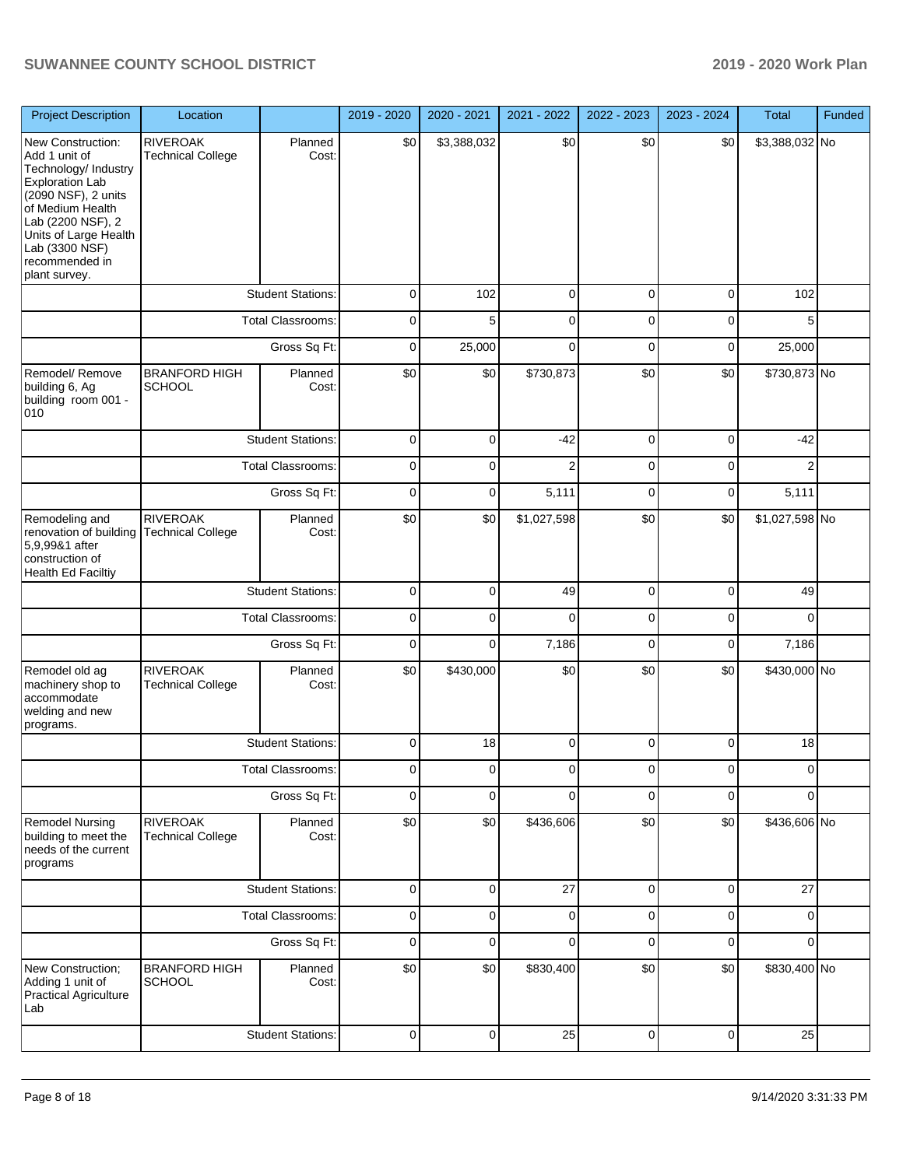| <b>Project Description</b>                                                                                                                                                                                                         | Location                                    |                          | 2019 - 2020         | 2020 - 2021    | 2021 - 2022    | 2022 - 2023    | 2023 - 2024    | Total          | Funded |
|------------------------------------------------------------------------------------------------------------------------------------------------------------------------------------------------------------------------------------|---------------------------------------------|--------------------------|---------------------|----------------|----------------|----------------|----------------|----------------|--------|
| New Construction:<br>Add 1 unit of<br>Technology/ Industry<br><b>Exploration Lab</b><br>(2090 NSF), 2 units<br>of Medium Health<br>Lab (2200 NSF), 2<br>Units of Large Health<br>Lab (3300 NSF)<br>recommended in<br>plant survey. | <b>RIVEROAK</b><br><b>Technical College</b> | Planned<br>Cost:         | \$0                 | \$3,388,032    | \$0            | \$0            | \$0            | \$3,388,032 No |        |
|                                                                                                                                                                                                                                    |                                             | <b>Student Stations:</b> | $\mathbf 0$         | 102            | $\mathbf 0$    | $\mathbf 0$    | $\mathbf 0$    | 102            |        |
|                                                                                                                                                                                                                                    |                                             | <b>Total Classrooms:</b> | $\mathbf 0$         | 5              | $\mathbf 0$    | $\mathbf 0$    | $\mathbf 0$    | 5              |        |
|                                                                                                                                                                                                                                    |                                             | Gross Sq Ft:             | $\mathbf 0$         | 25,000         | $\mathbf 0$    | $\mathbf 0$    | $\mathbf 0$    | 25,000         |        |
| Remodel/ Remove<br>building 6, Ag<br>building room 001 -<br>010                                                                                                                                                                    | <b>BRANFORD HIGH</b><br><b>SCHOOL</b>       | Planned<br>Cost:         | \$0                 | \$0            | \$730,873      | \$0            | \$0            | \$730,873 No   |        |
|                                                                                                                                                                                                                                    |                                             | <b>Student Stations:</b> | $\mathbf 0$         | $\mathbf 0$    | $-42$          | $\mathbf 0$    | $\mathbf 0$    | $-42$          |        |
|                                                                                                                                                                                                                                    |                                             | <b>Total Classrooms:</b> | $\mathsf 0$         | $\mathbf 0$    | $\overline{c}$ | $\mathbf 0$    | $\mathbf 0$    | $\overline{2}$ |        |
|                                                                                                                                                                                                                                    |                                             | Gross Sq Ft:             | $\mathbf 0$         | $\mathbf 0$    | 5,111          | $\mathbf 0$    | $\mathbf 0$    | 5,111          |        |
| Remodeling and<br>renovation of building<br>5,9,99&1 after<br>construction of<br><b>Health Ed Faciltiy</b>                                                                                                                         | <b>RIVEROAK</b><br><b>Technical College</b> | Planned<br>Cost:         | \$0                 | \$0            | \$1,027,598    | \$0            | \$0            | \$1,027,598 No |        |
|                                                                                                                                                                                                                                    |                                             | <b>Student Stations:</b> | $\pmb{0}$           | $\pmb{0}$      | 49             | $\pmb{0}$      | $\pmb{0}$      | 49             |        |
|                                                                                                                                                                                                                                    |                                             | <b>Total Classrooms:</b> | $\mathbf 0$         | $\mathbf 0$    | $\mathbf 0$    | $\mathbf 0$    | $\mathbf 0$    | $\mathbf 0$    |        |
|                                                                                                                                                                                                                                    |                                             | Gross Sq Ft:             | $\mathbf 0$         | $\mathbf 0$    | 7,186          | $\mathbf 0$    | $\mathbf 0$    | 7,186          |        |
| Remodel old ag<br>machinery shop to<br>accommodate<br>welding and new<br>programs.                                                                                                                                                 | <b>RIVEROAK</b><br><b>Technical College</b> | Planned<br>Cost:         | \$0                 | \$430,000      | \$0            | \$0            | \$0            | \$430,000 No   |        |
|                                                                                                                                                                                                                                    |                                             | <b>Student Stations:</b> | 0                   | 18             | $\pmb{0}$      | $\mathbf 0$    | $\mathbf 0$    | 18             |        |
|                                                                                                                                                                                                                                    |                                             | Total Classrooms:        | $\mathbf{0}$        | $\mathbf{0}$   | $\mathbf{0}$   | $\overline{0}$ | $\overline{0}$ | $\overline{0}$ |        |
|                                                                                                                                                                                                                                    |                                             | Gross Sq Ft:             | $\mathbf 0$         | $\mathbf 0$    | $\mathbf 0$    | $\mathbf 0$    | $\mathbf 0$    | $\Omega$       |        |
| <b>Remodel Nursing</b><br>building to meet the<br>needs of the current<br>programs                                                                                                                                                 | <b>RIVEROAK</b><br><b>Technical College</b> | Planned<br>Cost:         | \$0                 | \$0            | \$436,606      | \$0            | \$0            | \$436,606 No   |        |
|                                                                                                                                                                                                                                    |                                             | <b>Student Stations:</b> | $\mathsf{O}\xspace$ | $\mathbf 0$    | 27             | $\mathbf{0}$   | $\mathbf 0$    | 27             |        |
|                                                                                                                                                                                                                                    |                                             | Total Classrooms:        | $\mathbf 0$         | $\mathbf 0$    | $\mathbf 0$    | $\mathbf 0$    | $\mathbf 0$    | $\mathbf 0$    |        |
|                                                                                                                                                                                                                                    |                                             | Gross Sq Ft:             | $\mathbf 0$         | $\mathbf 0$    | $\mathbf 0$    | $\mathbf 0$    | $\mathbf 0$    | $\overline{0}$ |        |
| New Construction;<br>Adding 1 unit of<br><b>Practical Agriculture</b><br>Lab                                                                                                                                                       | <b>BRANFORD HIGH</b><br><b>SCHOOL</b>       | Planned<br>Cost:         | \$0                 | \$0            | \$830,400      | \$0            | \$0            | \$830,400 No   |        |
|                                                                                                                                                                                                                                    |                                             | <b>Student Stations:</b> | $\mathsf{O}\xspace$ | $\overline{0}$ | 25             | $\overline{0}$ | $\mathbf 0$    | 25             |        |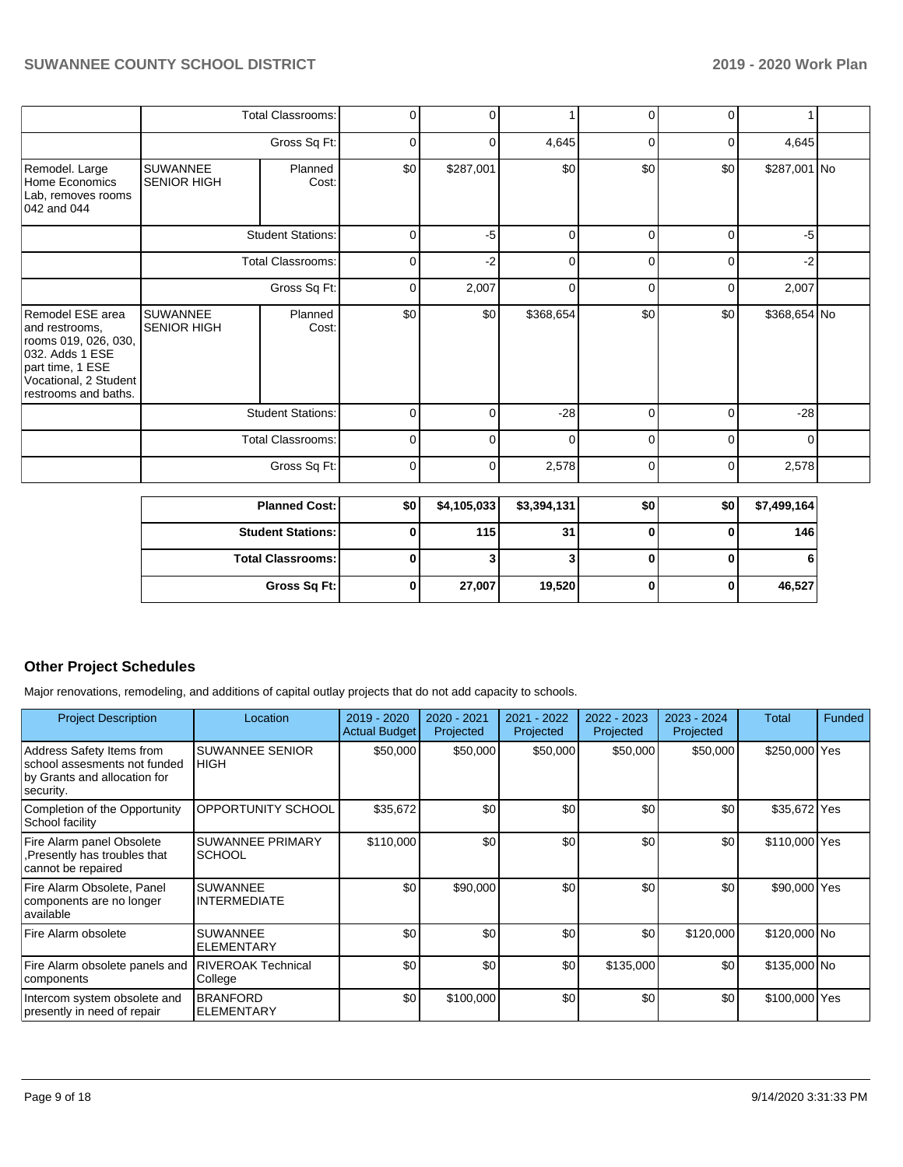|                                                                                                                                                    |                                       | <b>Total Classrooms:</b> | $\mathbf 0$    | $\Omega$       |              | $\Omega$     | $\Omega$    |              |  |
|----------------------------------------------------------------------------------------------------------------------------------------------------|---------------------------------------|--------------------------|----------------|----------------|--------------|--------------|-------------|--------------|--|
|                                                                                                                                                    |                                       | Gross Sq Ft:             | $\overline{0}$ | $\mathbf 0$    | 4,645        | 0            | 0           | 4,645        |  |
| Remodel. Large<br>Home Economics<br>Lab, removes rooms<br>042 and 044                                                                              | <b>SUWANNEE</b><br><b>SENIOR HIGH</b> | Planned<br>Cost:         | \$0            | \$287,001      | \$0          | \$0          | \$0         | \$287,001 No |  |
|                                                                                                                                                    |                                       | <b>Student Stations:</b> | $\mathbf 0$    | $-5$           | $\Omega$     | $\Omega$     | $\Omega$    | $-5$         |  |
|                                                                                                                                                    |                                       | <b>Total Classrooms:</b> | 0              | $-2$           | $\Omega$     | $\Omega$     | $\Omega$    | $-2$         |  |
|                                                                                                                                                    |                                       | Gross Sq Ft:             | 0              | 2,007          | $\Omega$     | 0            | $\Omega$    | 2,007        |  |
| Remodel ESE area<br>and restrooms,<br>rooms 019, 026, 030,<br>032. Adds 1 ESE<br>part time, 1 ESE<br>Vocational, 2 Student<br>restrooms and baths. | <b>SUWANNEE</b><br><b>SENIOR HIGH</b> | Planned<br>Cost:         | \$0            | \$0            | \$368,654    | \$0          | \$0         | \$368,654 No |  |
|                                                                                                                                                    |                                       | <b>Student Stations:</b> | 0              | $\mathbf 0$    | $-28$        | 0            | $\mathbf 0$ | $-28$        |  |
|                                                                                                                                                    |                                       | <b>Total Classrooms:</b> | $\mathbf 0$    | 0              | $\Omega$     | 0            | $\mathbf 0$ | $\Omega$     |  |
|                                                                                                                                                    |                                       | Gross Sq Ft:             | $\mathbf 0$    | 0              | 2,578        | 0            | $\Omega$    | 2,578        |  |
|                                                                                                                                                    |                                       | <b>Planned Cost:</b>     | \$0            | \$4,105,033    | \$3,394,131  | \$0          | \$0         | \$7,499,164  |  |
|                                                                                                                                                    |                                       | <b>Student Stations:</b> | 0              | 115            | 31           | 0            | 0           | 146          |  |
|                                                                                                                                                    |                                       | <b>Total Classrooms:</b> | $\mathbf{0}$   | 3 <sup>1</sup> | $\mathbf{3}$ | $\mathbf{0}$ | $\bf{0}$    | 6            |  |

**Gross Sq Ft: 0 27,007 19,520 0 0 46,527**

### **Other Project Schedules**

Major renovations, remodeling, and additions of capital outlay projects that do not add capacity to schools.

| <b>Project Description</b>                                                                             | Location                                 | 2019 - 2020<br><b>Actual Budget</b> | 2020 - 2021<br>Projected | 2021 - 2022<br>Projected | 2022 - 2023<br>Projected | 2023 - 2024<br>Projected | <b>Total</b>  | <b>Funded</b> |
|--------------------------------------------------------------------------------------------------------|------------------------------------------|-------------------------------------|--------------------------|--------------------------|--------------------------|--------------------------|---------------|---------------|
| Address Safety Items from<br>school assesments not funded<br>by Grants and allocation for<br>security. | <b>SUWANNEE SENIOR</b><br><b>HIGH</b>    | \$50,000                            | \$50,000                 | \$50,000                 | \$50,000                 | \$50,000                 | \$250,000 Yes |               |
| Completion of the Opportunity<br>School facility                                                       | OPPORTUNITY SCHOOL                       | \$35,672                            | \$0                      | \$0                      | \$0                      | \$0                      | \$35,672 Yes  |               |
| Fire Alarm panel Obsolete<br>Presently has troubles that<br>cannot be repaired                         | <b>SUWANNEE PRIMARY</b><br><b>SCHOOL</b> | \$110,000                           | \$0                      | \$0                      | \$0                      | \$0                      | \$110,000 Yes |               |
| Fire Alarm Obsolete, Panel<br>components are no longer<br>available                                    | <b>SUWANNEE</b><br>INTERMEDIATE          | \$0                                 | \$90,000                 | \$0                      | \$0                      | \$0                      | \$90,000 Yes  |               |
| Fire Alarm obsolete                                                                                    | <b>SUWANNEE</b><br><b>ELEMENTARY</b>     | \$0                                 | \$0                      | \$0                      | \$0                      | \$120,000                | \$120,000 No  |               |
| Fire Alarm obsolete panels and<br>components                                                           | <b>RIVEROAK Technical</b><br>College     | \$0                                 | \$0                      | \$0                      | \$135,000                | \$0                      | \$135,000 No  |               |
| Intercom system obsolete and<br>presently in need of repair                                            | <b>BRANFORD</b><br><b>ELEMENTARY</b>     | \$0                                 | \$100,000                | \$0                      | \$0                      | \$0                      | \$100,000 Yes |               |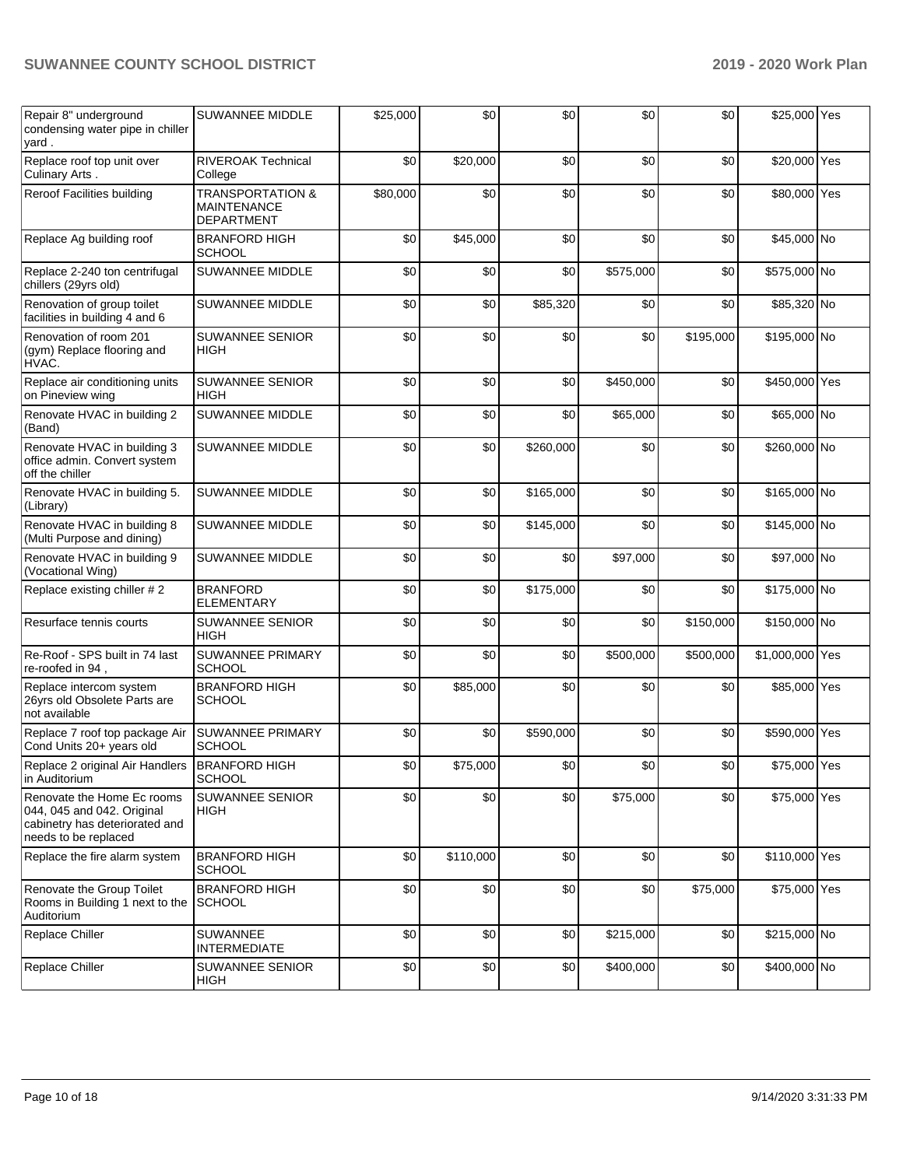| Repair 8" underground<br>condensing water pipe in chiller<br>yard.                                                 | <b>SUWANNEE MIDDLE</b>                                                 | \$25,000 | \$0       | \$0       | \$0       | \$0       | \$25,000 Yes    |  |
|--------------------------------------------------------------------------------------------------------------------|------------------------------------------------------------------------|----------|-----------|-----------|-----------|-----------|-----------------|--|
| Replace roof top unit over<br>Culinary Arts.                                                                       | <b>RIVEROAK Technical</b><br>College                                   | \$0      | \$20,000  | \$0       | \$0       | \$0       | \$20,000 Yes    |  |
| Reroof Facilities building                                                                                         | <b>TRANSPORTATION &amp;</b><br><b>MAINTENANCE</b><br><b>DEPARTMENT</b> | \$80,000 | \$0       | \$0       | \$0       | \$0       | \$80,000 Yes    |  |
| Replace Ag building roof                                                                                           | <b>BRANFORD HIGH</b><br><b>SCHOOL</b>                                  | \$0      | \$45,000  | \$0       | \$0       | \$0       | \$45,000 No     |  |
| Replace 2-240 ton centrifugal<br>chillers (29yrs old)                                                              | <b>SUWANNEE MIDDLE</b>                                                 | \$0      | \$0       | \$0       | \$575,000 | \$0       | \$575,000 No    |  |
| Renovation of group toilet<br>facilities in building 4 and 6                                                       | SUWANNEE MIDDLE                                                        | \$0      | \$0       | \$85,320  | \$0       | \$0       | \$85,320 No     |  |
| Renovation of room 201<br>(gym) Replace flooring and<br>HVAC.                                                      | <b>SUWANNEE SENIOR</b><br><b>HIGH</b>                                  | \$0      | \$0       | \$0       | \$0       | \$195,000 | \$195,000 No    |  |
| Replace air conditioning units<br>on Pineview wing                                                                 | <b>SUWANNEE SENIOR</b><br><b>HIGH</b>                                  | \$0      | \$0       | \$0       | \$450,000 | \$0       | \$450,000 Yes   |  |
| Renovate HVAC in building 2<br>(Band)                                                                              | <b>SUWANNEE MIDDLE</b>                                                 | \$0      | \$0       | \$0       | \$65,000  | \$0       | \$65,000 No     |  |
| Renovate HVAC in building 3<br>office admin. Convert system<br>off the chiller                                     | SUWANNEE MIDDLE                                                        | \$0      | \$0       | \$260,000 | \$0       | \$0       | \$260,000 No    |  |
| Renovate HVAC in building 5.<br>(Library)                                                                          | SUWANNEE MIDDLE                                                        | \$0      | \$0       | \$165,000 | \$0       | \$0       | \$165,000 No    |  |
| Renovate HVAC in building 8<br>(Multi Purpose and dining)                                                          | SUWANNEE MIDDLE                                                        | \$0      | \$0       | \$145,000 | \$0       | \$0       | \$145,000 No    |  |
| Renovate HVAC in building 9<br>(Vocational Wing)                                                                   | SUWANNEE MIDDLE                                                        | \$0      | \$0       | \$0       | \$97,000  | \$0       | \$97,000 No     |  |
| Replace existing chiller #2                                                                                        | <b>BRANFORD</b><br><b>ELEMENTARY</b>                                   | \$0      | \$0       | \$175,000 | \$0       | \$0       | \$175,000 No    |  |
| Resurface tennis courts                                                                                            | <b>SUWANNEE SENIOR</b><br><b>HIGH</b>                                  | \$0      | \$0       | \$0       | \$0       | \$150,000 | \$150,000 No    |  |
| Re-Roof - SPS built in 74 last<br>, re-roofed in 94                                                                | SUWANNEE PRIMARY<br><b>SCHOOL</b>                                      | \$0      | \$0       | \$0       | \$500,000 | \$500,000 | \$1,000,000 Yes |  |
| Replace intercom system<br>26 vrs old Obsolete Parts are<br>not available                                          | <b>BRANFORD HIGH</b><br><b>SCHOOL</b>                                  | \$0      | \$85,000  | \$0       | \$0       | \$0       | \$85,000 Yes    |  |
| Replace 7 roof top package Air<br>Cond Units 20+ years old                                                         | <b>SUWANNEE PRIMARY</b><br><b>SCHOOL</b>                               | \$0      | \$0       | \$590,000 | \$0       | \$0       | \$590,000 Yes   |  |
| Replace 2 original Air Handlers<br>in Auditorium                                                                   | <b>BRANFORD HIGH</b><br><b>SCHOOL</b>                                  | \$0      | \$75,000  | \$0       | \$0       | \$0       | \$75,000 Yes    |  |
| Renovate the Home Ec rooms<br>044, 045 and 042. Original<br>cabinetry has deteriorated and<br>needs to be replaced | <b>SUWANNEE SENIOR</b><br><b>HIGH</b>                                  | \$0      | \$0       | \$0       | \$75,000  | \$0       | \$75,000 Yes    |  |
| Replace the fire alarm system                                                                                      | <b>BRANFORD HIGH</b><br><b>SCHOOL</b>                                  | \$0      | \$110,000 | \$0       | \$0       | \$0       | \$110,000 Yes   |  |
| Renovate the Group Toilet<br>Rooms in Building 1 next to the<br>Auditorium                                         | <b>BRANFORD HIGH</b><br><b>SCHOOL</b>                                  | \$0      | \$0       | \$0       | \$0       | \$75,000  | \$75,000 Yes    |  |
| Replace Chiller                                                                                                    | SUWANNEE<br>INTERMEDIATE                                               | \$0      | \$0       | \$0       | \$215,000 | \$0       | \$215,000 No    |  |
| Replace Chiller                                                                                                    | <b>SUWANNEE SENIOR</b><br>HIGH                                         | \$0      | \$0       | \$0       | \$400,000 | \$0       | \$400,000 No    |  |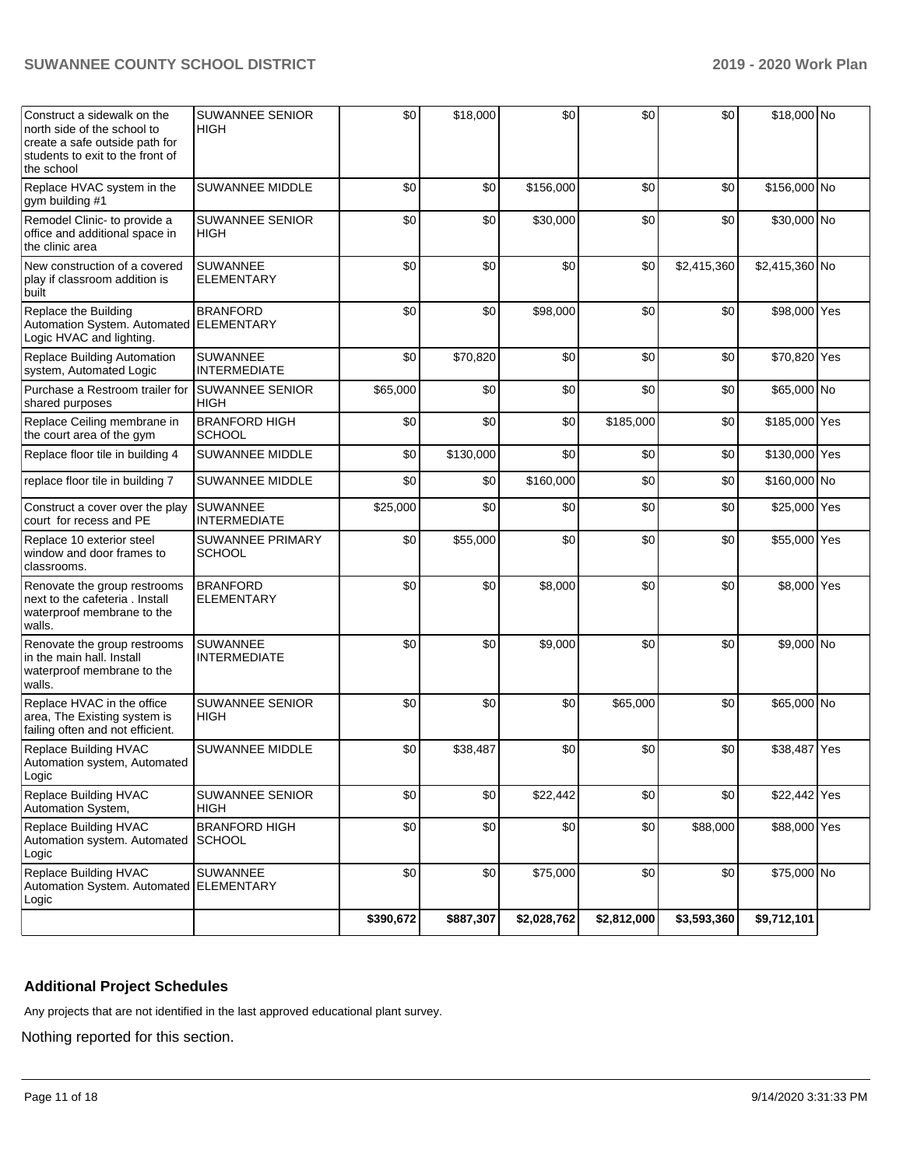| Construct a sidewalk on the<br>north side of the school to<br>create a safe outside path for<br>students to exit to the front of<br>the school | <b>SUWANNEE SENIOR</b><br><b>HIGH</b>    | \$0       | \$18,000  | \$0         | \$0         | \$0         | \$18,000 No    |  |
|------------------------------------------------------------------------------------------------------------------------------------------------|------------------------------------------|-----------|-----------|-------------|-------------|-------------|----------------|--|
| Replace HVAC system in the<br>gym building #1                                                                                                  | SUWANNEE MIDDLE                          | \$0       | \$0       | \$156,000   | \$0         | \$0         | \$156,000 No   |  |
| Remodel Clinic- to provide a<br>office and additional space in<br>the clinic area                                                              | SUWANNEE SENIOR<br><b>HIGH</b>           | \$0       | \$0       | \$30,000    | \$0         | \$0         | \$30,000 No    |  |
| New construction of a covered<br>play if classroom addition is<br>built                                                                        | <b>SUWANNEE</b><br><b>ELEMENTARY</b>     | \$0       | \$0       | \$0         | \$0         | \$2,415,360 | \$2,415,360 No |  |
| Replace the Building<br>Automation System. Automated ELEMENTARY<br>Logic HVAC and lighting.                                                    | <b>BRANFORD</b>                          | \$0       | \$0       | \$98,000    | \$0         | \$0         | \$98,000 Yes   |  |
| Replace Building Automation<br>system, Automated Logic                                                                                         | SUWANNEE<br><b>INTERMEDIATE</b>          | \$0       | \$70,820  | \$0         | \$0         | \$0         | \$70,820 Yes   |  |
| Purchase a Restroom trailer for<br>shared purposes                                                                                             | <b>SUWANNEE SENIOR</b><br><b>HIGH</b>    | \$65,000  | \$0       | \$0         | \$0         | \$0         | \$65,000 No    |  |
| Replace Ceiling membrane in<br>the court area of the gym                                                                                       | <b>BRANFORD HIGH</b><br>SCHOOL           | \$0       | \$0       | \$0         | \$185,000   | \$0         | \$185,000 Yes  |  |
| Replace floor tile in building 4                                                                                                               | SUWANNEE MIDDLE                          | \$0       | \$130,000 | \$0         | \$0         | \$0         | \$130,000 Yes  |  |
| replace floor tile in building 7                                                                                                               | <b>SUWANNEE MIDDLE</b>                   | \$0       | \$0       | \$160,000   | \$0         | \$0         | \$160,000 No   |  |
| Construct a cover over the play<br>court for recess and PE                                                                                     | <b>SUWANNEE</b><br><b>INTERMEDIATE</b>   | \$25,000  | \$0       | \$0         | \$0         | \$0         | \$25,000 Yes   |  |
| Replace 10 exterior steel<br>window and door frames to<br>classrooms.                                                                          | <b>SUWANNEE PRIMARY</b><br><b>SCHOOL</b> | \$0       | \$55,000  | \$0         | \$0         | \$0         | \$55,000 Yes   |  |
| Renovate the group restrooms<br>next to the cafeteria, Install<br>waterproof membrane to the<br>walls.                                         | <b>BRANFORD</b><br><b>ELEMENTARY</b>     | \$0       | \$0       | \$8,000     | \$0         | \$0         | \$8,000 Yes    |  |
| Renovate the group restrooms<br>in the main hall. Install<br>waterproof membrane to the<br>walls.                                              | <b>SUWANNEE</b><br><b>INTERMEDIATE</b>   | \$0       | \$0       | \$9,000     | \$0         | \$0         | \$9,000 No     |  |
| Replace HVAC in the office<br>area, The Existing system is<br>failing often and not efficient.                                                 | <b>SUWANNEE SENIOR</b><br><b>HIGH</b>    | \$0       | \$0       | \$0         | \$65,000    | \$0         | \$65,000 No    |  |
| Replace Building HVAC<br>Automation system, Automated<br>Logic                                                                                 | SUWANNEE MIDDLE                          | \$0       | \$38,487  | \$0         | \$0         | \$0         | \$38,487 Yes   |  |
| Replace Building HVAC<br>Automation System,                                                                                                    | SUWANNEE SENIOR<br>HIGH                  | \$0       | \$0       | \$22,442    | \$0         | \$0         | \$22,442 Yes   |  |
| Replace Building HVAC<br>Automation system. Automated<br>Logic                                                                                 | <b>BRANFORD HIGH</b><br><b>SCHOOL</b>    | \$0       | \$0       | \$0         | \$0         | \$88,000    | \$88,000 Yes   |  |
| Replace Building HVAC<br>Automation System. Automated ELEMENTARY<br>Logic                                                                      | <b>SUWANNEE</b>                          | \$0       | \$0       | \$75,000    | \$0         | \$0         | \$75,000 No    |  |
|                                                                                                                                                |                                          | \$390,672 | \$887,307 | \$2,028,762 | \$2,812,000 | \$3,593,360 | \$9,712,101    |  |

#### **Additional Project Schedules**

Any projects that are not identified in the last approved educational plant survey.

Nothing reported for this section.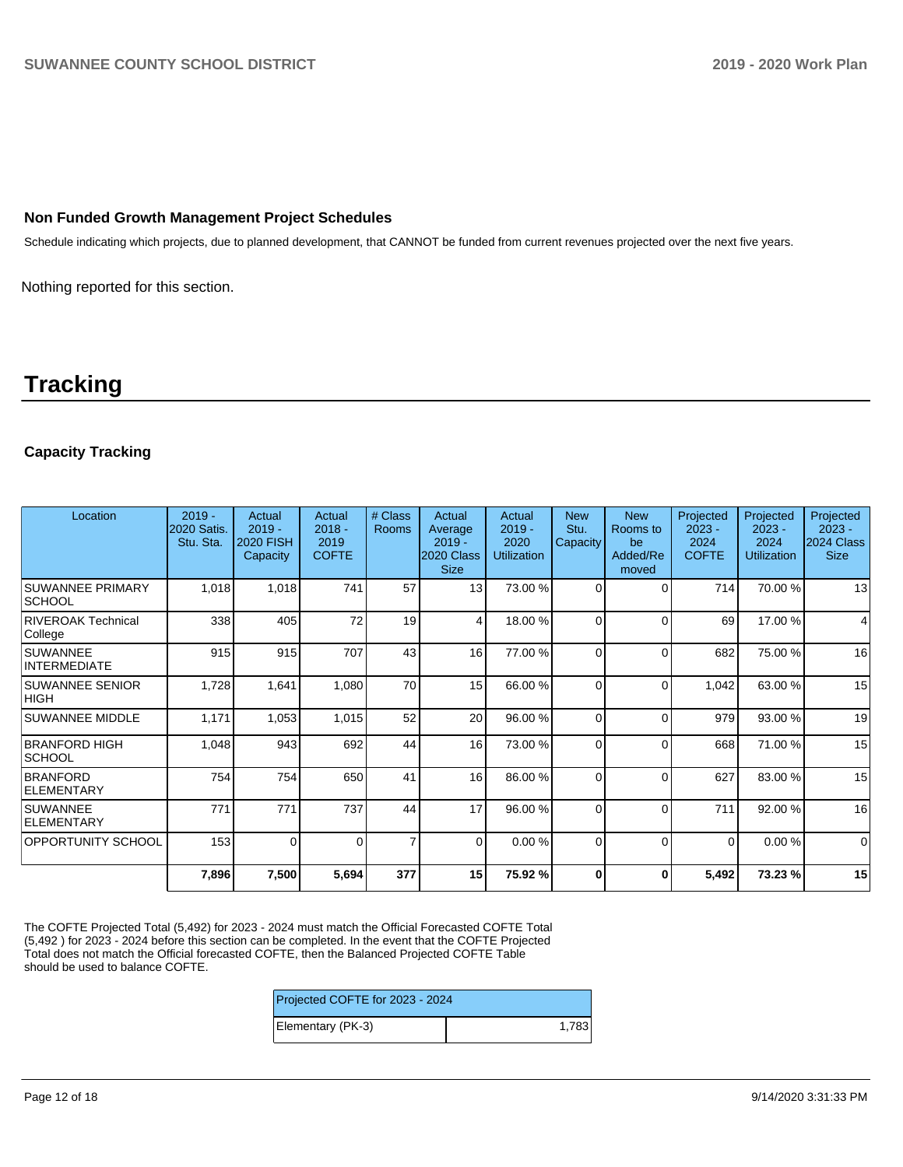#### **Non Funded Growth Management Project Schedules**

Schedule indicating which projects, due to planned development, that CANNOT be funded from current revenues projected over the next five years.

Nothing reported for this section.

# **Tracking**

#### **Capacity Tracking**

| Location                              | $2019 -$<br>2020 Satis.<br>Stu. Sta. | Actual<br>$2019 -$<br><b>2020 FISH</b><br>Capacity | Actual<br>$2018 -$<br>2019<br><b>COFTE</b> | # Class<br>Rooms | Actual<br>Average<br>$2019 -$<br>2020 Class<br><b>Size</b> | Actual<br>$2019 -$<br>2020<br><b>Utilization</b> | <b>New</b><br>Stu.<br>Capacity | <b>New</b><br>Rooms to<br>be<br>Added/Re<br>moved | Projected<br>$2023 -$<br>2024<br><b>COFTE</b> | Projected<br>$2023 -$<br>2024<br><b>Utilization</b> | Projected<br>$2023 -$<br>2024 Class<br><b>Size</b> |
|---------------------------------------|--------------------------------------|----------------------------------------------------|--------------------------------------------|------------------|------------------------------------------------------------|--------------------------------------------------|--------------------------------|---------------------------------------------------|-----------------------------------------------|-----------------------------------------------------|----------------------------------------------------|
| <b>SUWANNEE PRIMARY</b><br> SCHOOL    | 1,018                                | 1,018                                              | 741                                        | 57               | 13                                                         | 73.00 %                                          | $\Omega$                       | $\Omega$                                          | 714                                           | 70.00 %                                             | 13                                                 |
| <b>RIVEROAK Technical</b><br>College  | 338                                  | 405                                                | 72                                         | 19               | 4                                                          | 18.00 %                                          | $\Omega$                       | $\Omega$                                          | 69                                            | 17.00 %                                             | 4                                                  |
| <b>SUWANNEE</b><br>INTERMEDIATE       | 915                                  | 915                                                | 707                                        | 43               | 16                                                         | 77.00 %                                          | $\Omega$                       | $\Omega$                                          | 682                                           | 75.00 %                                             | 16                                                 |
| <b>SUWANNEE SENIOR</b><br><b>HIGH</b> | 1,728                                | 1,641                                              | 1,080                                      | 70               | 15                                                         | 66.00 %                                          | 0                              | $\Omega$                                          | 1,042                                         | 63.00 %                                             | 15                                                 |
| <b>SUWANNEE MIDDLE</b>                | 1,171                                | 1,053                                              | 1,015                                      | 52               | 20                                                         | 96.00 %                                          | $\Omega$                       | $\Omega$                                          | 979                                           | 93.00 %                                             | 19                                                 |
| <b>BRANFORD HIGH</b><br><b>SCHOOL</b> | 1,048                                | 943                                                | 692                                        | 44               | 16                                                         | 73.00 %                                          | $\Omega$                       | $\Omega$                                          | 668                                           | 71.00 %                                             | 15                                                 |
| <b>BRANFORD</b><br><b>ELEMENTARY</b>  | 754                                  | 754                                                | 650                                        | 41               | 16                                                         | 86.00 %                                          | $\Omega$                       | $\Omega$                                          | 627                                           | 83.00 %                                             | 15                                                 |
| <b>SUWANNEE</b><br>ELEMENTARY         | 771                                  | 771                                                | 737                                        | 44               | 17                                                         | 96.00 %                                          | 0                              | $\Omega$                                          | 711                                           | 92.00 %                                             | 16                                                 |
| <b>OPPORTUNITY SCHOOL</b>             | 153                                  | $\Omega$                                           | $\Omega$                                   | $\overline{7}$   | $\overline{0}$                                             | 0.00%                                            | $\Omega$                       | $\Omega$                                          | $\Omega$                                      | 0.00%                                               | $\mathbf 0$                                        |
|                                       | 7,896                                | 7,500                                              | 5,694                                      | 377              | 15 <sub>l</sub>                                            | 75.92 %                                          | 0                              | 0                                                 | 5,492                                         | 73.23 %                                             | 15                                                 |

The COFTE Projected Total (5,492) for 2023 - 2024 must match the Official Forecasted COFTE Total (5,492 ) for 2023 - 2024 before this section can be completed. In the event that the COFTE Projected Total does not match the Official forecasted COFTE, then the Balanced Projected COFTE Table should be used to balance COFTE.

| Projected COFTE for 2023 - 2024 |       |  |  |  |
|---------------------------------|-------|--|--|--|
| Elementary (PK-3)               | 1,783 |  |  |  |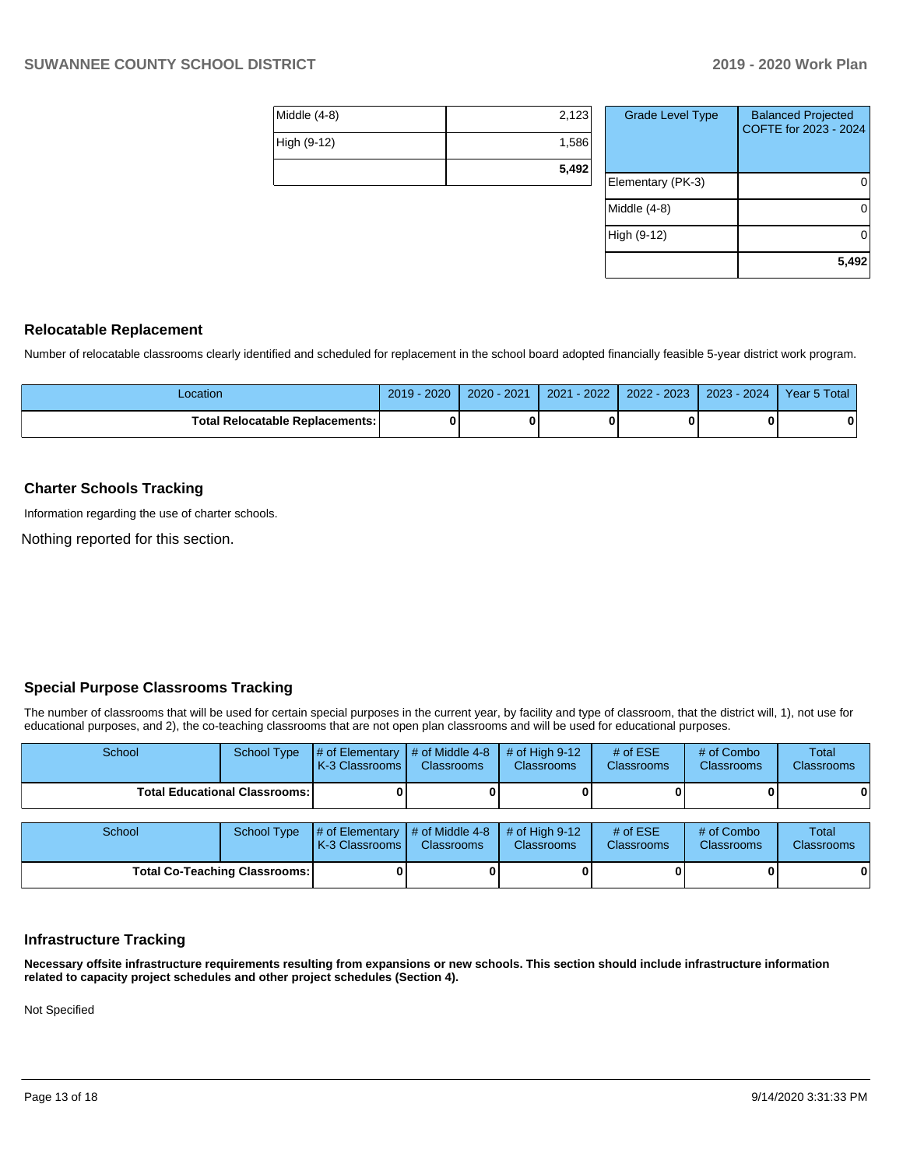| Middle (4-8) | 2,123 |
|--------------|-------|
| High (9-12)  | 1,586 |
|              | 5,492 |

| <b>Grade Level Type</b> | <b>Balanced Projected</b><br>COFTE for 2023 - 2024 |
|-------------------------|----------------------------------------------------|
| Elementary (PK-3)       |                                                    |
| Middle (4-8)            |                                                    |
| High (9-12)             |                                                    |
|                         | 5,492                                              |

#### **Relocatable Replacement**

Number of relocatable classrooms clearly identified and scheduled for replacement in the school board adopted financially feasible 5-year district work program.

| _ocation                               | 2019<br>$-2020$ | 2020 - 2021 | $-2022$<br>2021 | 2022 - 2023 | $2023 - 2024$ | Year 5 Total |
|----------------------------------------|-----------------|-------------|-----------------|-------------|---------------|--------------|
| <b>Total Relocatable Replacements:</b> |                 |             |                 | n           |               | 0            |

#### **Charter Schools Tracking**

Information regarding the use of charter schools.

Nothing reported for this section.

#### **Special Purpose Classrooms Tracking**

The number of classrooms that will be used for certain special purposes in the current year, by facility and type of classroom, that the district will, 1), not use for educational purposes, and 2), the co-teaching classrooms that are not open plan classrooms and will be used for educational purposes.

| School                               | School Type | $\sharp$ of Elementary $\sharp$ of Middle 4-8<br>K-3 Classrooms I      | <b>Classrooms</b> | $#$ of High 9-12<br><b>Classrooms</b> | # of $ESE$<br><b>Classrooms</b> | # of Combo<br><b>Classrooms</b> | Total<br><b>Classrooms</b> |
|--------------------------------------|-------------|------------------------------------------------------------------------|-------------------|---------------------------------------|---------------------------------|---------------------------------|----------------------------|
| <b>Total Educational Classrooms:</b> |             |                                                                        |                   |                                       |                                 |                                 | $\mathbf{0}$               |
|                                      |             |                                                                        |                   |                                       |                                 |                                 |                            |
| School                               | School Type | $\sharp$ of Elementary $\sharp$ of Middle 4-8<br><b>K-3 Classrooms</b> | <b>Classrooms</b> | # of High $9-12$<br><b>Classrooms</b> | # of $ESE$<br><b>Classrooms</b> | # of Combo<br><b>Classrooms</b> | Total<br><b>Classrooms</b> |

**Total Co-Teaching Classrooms: 0 0 0 0 0 0**

**Necessary offsite infrastructure requirements resulting from expansions or new schools. This section should include infrastructure information related to capacity project schedules and other project schedules (Section 4).** 

Not Specified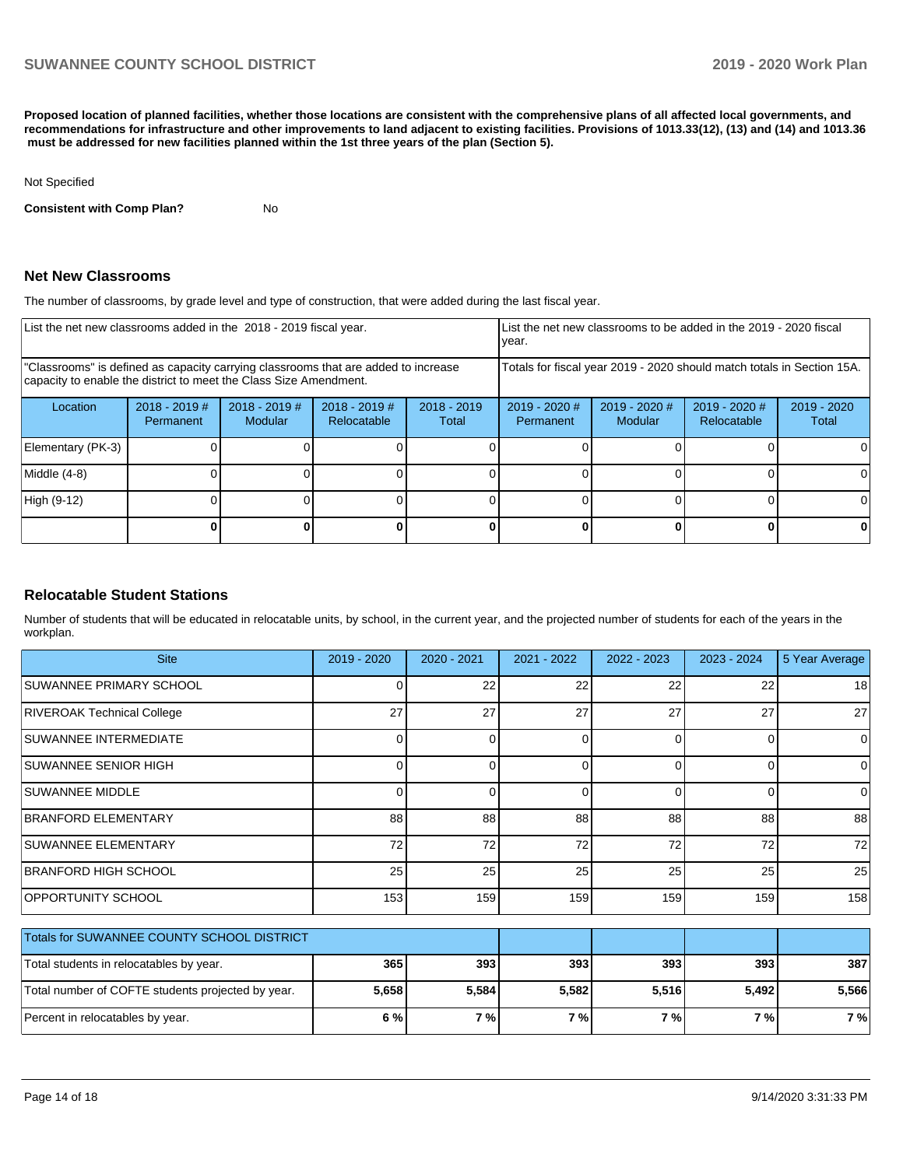**Proposed location of planned facilities, whether those locations are consistent with the comprehensive plans of all affected local governments, and recommendations for infrastructure and other improvements to land adjacent to existing facilities. Provisions of 1013.33(12), (13) and (14) and 1013.36 must be addressed for new facilities planned within the 1st three years of the plan (Section 5).** 

#### Not Specified

**Consistent with Comp Plan?** No

#### **Net New Classrooms**

The number of classrooms, by grade level and type of construction, that were added during the last fiscal year.

| List the net new classrooms added in the 2018 - 2019 fiscal year.                                                                                       |                              |                                   |                                |                                                                        | year. |                            | List the net new classrooms to be added in the 2019 - 2020 fiscal |                        |
|---------------------------------------------------------------------------------------------------------------------------------------------------------|------------------------------|-----------------------------------|--------------------------------|------------------------------------------------------------------------|-------|----------------------------|-------------------------------------------------------------------|------------------------|
| "Classrooms" is defined as capacity carrying classrooms that are added to increase<br>capacity to enable the district to meet the Class Size Amendment. |                              |                                   |                                | Totals for fiscal year 2019 - 2020 should match totals in Section 15A. |       |                            |                                                                   |                        |
| Location                                                                                                                                                | $2018 - 2019$ #<br>Permanent | $2018 - 2019$ #<br><b>Modular</b> | $2018 - 2019$ #<br>Relocatable | $2018 - 2019$<br>Total                                                 |       | $2019 - 2020$ #<br>Modular | $2019 - 2020$ #<br>Relocatable                                    | $2019 - 2020$<br>Total |
| Elementary (PK-3)                                                                                                                                       |                              |                                   |                                |                                                                        |       |                            |                                                                   | 0                      |
| Middle (4-8)                                                                                                                                            |                              |                                   |                                |                                                                        |       |                            |                                                                   | 0                      |
| High (9-12)                                                                                                                                             |                              |                                   |                                |                                                                        |       |                            |                                                                   | $\Omega$               |
|                                                                                                                                                         |                              |                                   |                                |                                                                        |       |                            |                                                                   | 0                      |

#### **Relocatable Student Stations**

Number of students that will be educated in relocatable units, by school, in the current year, and the projected number of students for each of the years in the workplan.

| <b>Site</b>                                       | $2019 - 2020$ | $2020 - 2021$ | 2021 - 2022 | 2022 - 2023 | 2023 - 2024 | 5 Year Average |
|---------------------------------------------------|---------------|---------------|-------------|-------------|-------------|----------------|
| SUWANNEE PRIMARY SCHOOL                           |               | 22            | 22          | 22          | 22          | 18             |
| <b>RIVEROAK Technical College</b>                 | 27            | 27            | 27          | 27          | 27          | 27             |
| <b>SUWANNEE INTERMEDIATE</b>                      |               | 0             |             | $\Omega$    | 0           | $\Omega$       |
| <b>SUWANNEE SENIOR HIGH</b>                       |               |               |             | $\Omega$    | 0           | $\Omega$       |
| SUWANNEE MIDDLE                                   |               | 0             | $\Omega$    | $\Omega$    | 0           | $\Omega$       |
| BRANFORD ELEMENTARY                               | 88            | 88            | 88          | 88          | 88          | 88             |
| <b>SUWANNEE ELEMENTARY</b>                        | 72            | 72            | 72          | 72          | 72          | 72             |
| BRANFORD HIGH SCHOOL                              | 25            | 25            | 25          | 25          | 25          | 25             |
| OPPORTUNITY SCHOOL                                | 153           | 159           | 159         | 159         | 159         | 158            |
|                                                   |               |               |             |             |             |                |
| Totals for SUWANNEE COUNTY SCHOOL DISTRICT        |               |               |             |             |             |                |
| Total students in relocatables by year.           | 365           | 393           | 393         | 393         | 393         | 387            |
| Total number of COFTE students projected by year. | 5,658         | 5,584         | 5,582       | 5,516       | 5,492       | 5,566          |

Percent in relocatables by year. **6 % 7 % 7 % 7 % 7 % 7 %**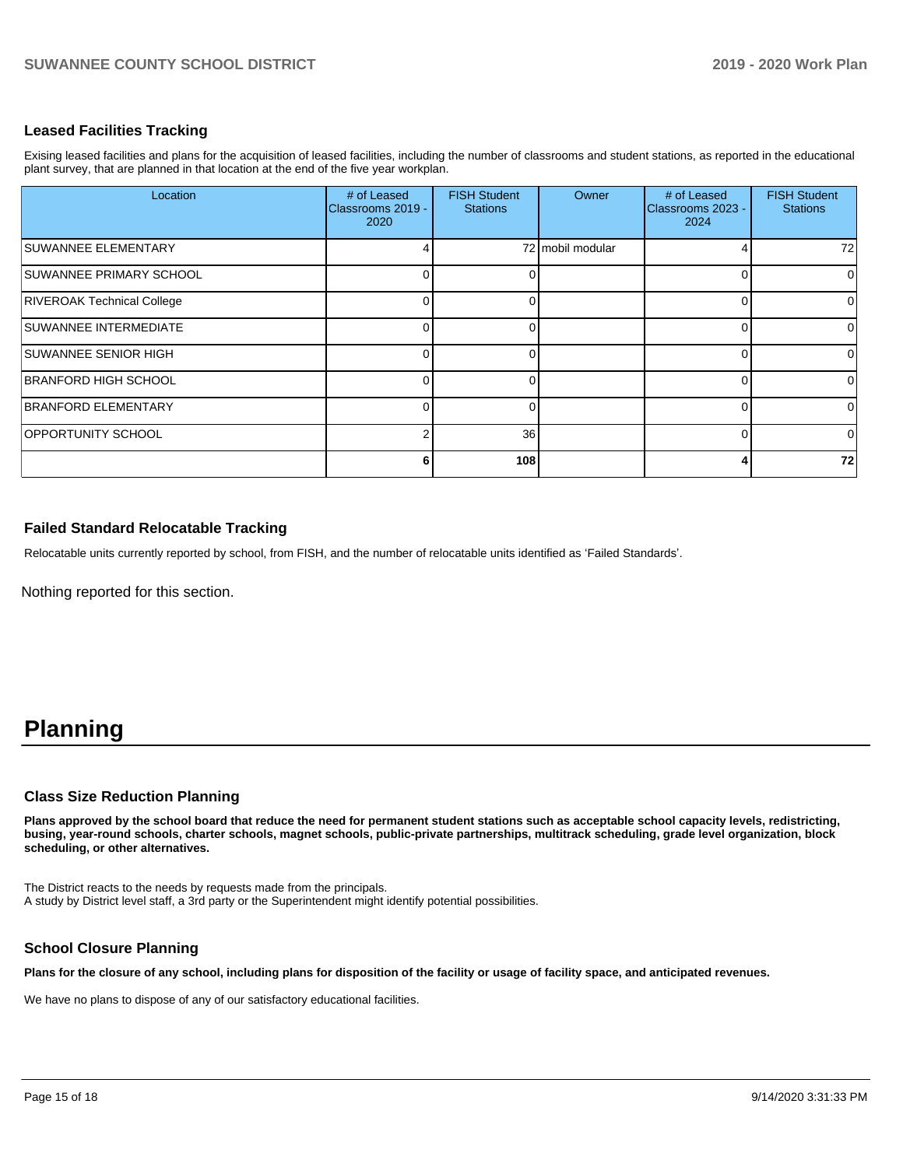#### **Leased Facilities Tracking**

Exising leased facilities and plans for the acquisition of leased facilities, including the number of classrooms and student stations, as reported in the educational plant survey, that are planned in that location at the end of the five year workplan.

| Location                          | # of Leased<br>Classrooms 2019 -<br>2020 | <b>FISH Student</b><br><b>Stations</b> | Owner            | # of Leased<br>Classrooms 2023 -<br>2024 | <b>FISH Student</b><br><b>Stations</b> |
|-----------------------------------|------------------------------------------|----------------------------------------|------------------|------------------------------------------|----------------------------------------|
| <b>SUWANNEE ELEMENTARY</b>        |                                          |                                        | 72 mobil modular |                                          | 72                                     |
| SUWANNEE PRIMARY SCHOOL           |                                          |                                        |                  |                                          | 0                                      |
| <b>RIVEROAK Technical College</b> |                                          |                                        |                  |                                          | 0                                      |
| <b>SUWANNEE INTERMEDIATE</b>      |                                          |                                        |                  |                                          | 0                                      |
| SUWANNEE SENIOR HIGH              |                                          |                                        |                  |                                          | 0                                      |
| <b>BRANFORD HIGH SCHOOL</b>       |                                          |                                        |                  |                                          | $\Omega$                               |
| BRANFORD ELEMENTARY               |                                          |                                        |                  |                                          | 0                                      |
| <b>OPPORTUNITY SCHOOL</b>         |                                          | 36                                     |                  |                                          | $\mathbf 0$                            |
|                                   | 6                                        | 108                                    |                  |                                          | 72                                     |

#### **Failed Standard Relocatable Tracking**

Relocatable units currently reported by school, from FISH, and the number of relocatable units identified as 'Failed Standards'.

Nothing reported for this section.

# **Planning**

#### **Class Size Reduction Planning**

**Plans approved by the school board that reduce the need for permanent student stations such as acceptable school capacity levels, redistricting, busing, year-round schools, charter schools, magnet schools, public-private partnerships, multitrack scheduling, grade level organization, block scheduling, or other alternatives.**

The District reacts to the needs by requests made from the principals. A study by District level staff, a 3rd party or the Superintendent might identify potential possibilities.

#### **School Closure Planning**

**Plans for the closure of any school, including plans for disposition of the facility or usage of facility space, and anticipated revenues.** 

We have no plans to dispose of any of our satisfactory educational facilities.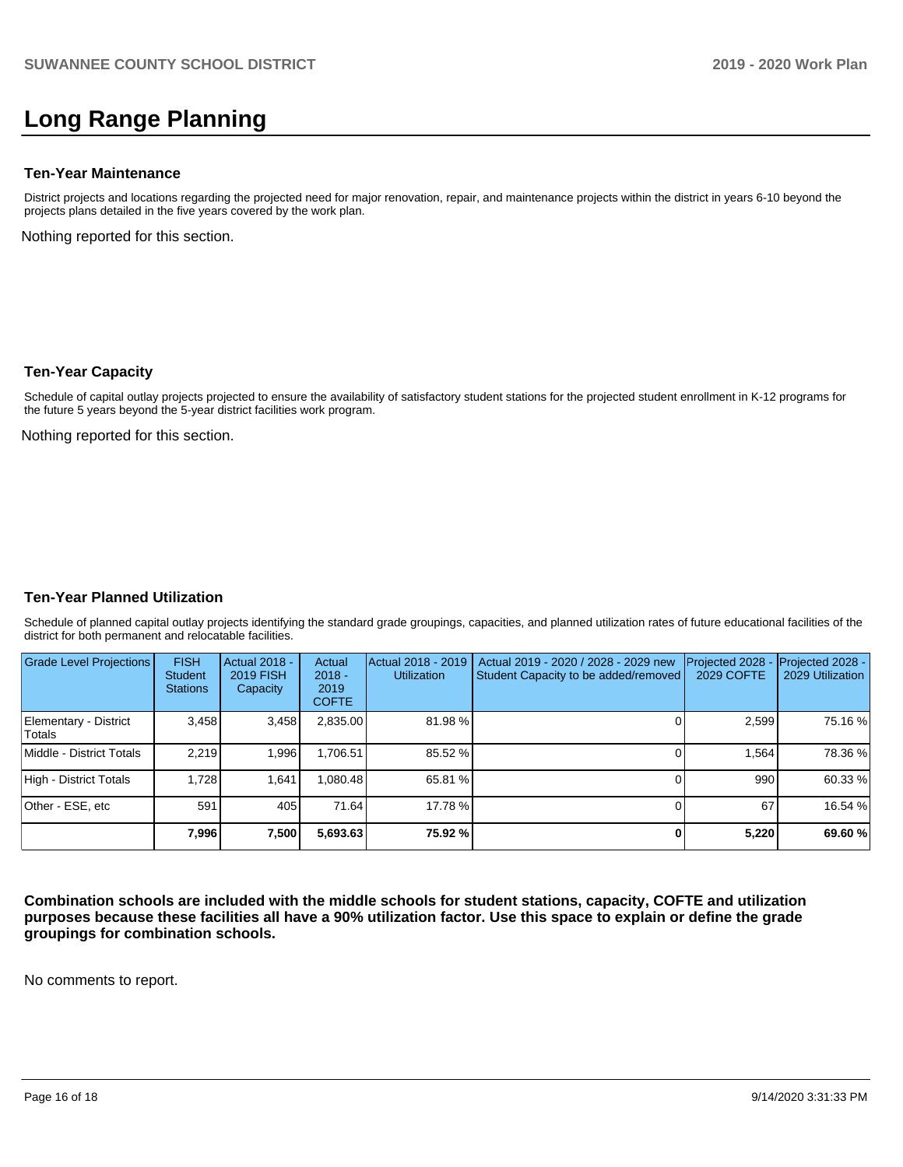# **Long Range Planning**

#### **Ten-Year Maintenance**

District projects and locations regarding the projected need for major renovation, repair, and maintenance projects within the district in years 6-10 beyond the projects plans detailed in the five years covered by the work plan.

Nothing reported for this section.

#### **Ten-Year Capacity**

Schedule of capital outlay projects projected to ensure the availability of satisfactory student stations for the projected student enrollment in K-12 programs for the future 5 years beyond the 5-year district facilities work program.

Nothing reported for this section.

#### **Ten-Year Planned Utilization**

Schedule of planned capital outlay projects identifying the standard grade groupings, capacities, and planned utilization rates of future educational facilities of the district for both permanent and relocatable facilities.

| <b>Grade Level Projections</b>         | <b>FISH</b><br><b>Student</b><br><b>Stations</b> | Actual 2018 -<br><b>2019 FISH</b><br>Capacity | Actual<br>$2018 -$<br>2019<br><b>COFTE</b> | Actual 2018 - 2019<br><b>Utilization</b> | Actual 2019 - 2020 / 2028 - 2029 new<br>Student Capacity to be added/removed | Projected 2028<br><b>2029 COFTE</b> | Projected 2028 -<br>2029 Utilization |
|----------------------------------------|--------------------------------------------------|-----------------------------------------------|--------------------------------------------|------------------------------------------|------------------------------------------------------------------------------|-------------------------------------|--------------------------------------|
| Elementary - District<br><b>Totals</b> | 3,458                                            | 3,458                                         | 2,835.00                                   | 81.98%                                   |                                                                              | 2,599                               | 75.16 %                              |
| Middle - District Totals               | 2.219                                            | 1,996                                         | 1,706.51                                   | 85.52 %                                  |                                                                              | 1.564                               | 78.36 %                              |
| High - District Totals                 | 1.728                                            | 1,641                                         | 080.48                                     | 65.81 %                                  |                                                                              | 990                                 | 60.33 %                              |
| Other - ESE, etc                       | 591                                              | 405                                           | 71.64                                      | 17.78 %                                  |                                                                              | 67                                  | 16.54 %                              |
|                                        | 7,996                                            | 7,500                                         | 5,693.63                                   | 75.92 %                                  |                                                                              | 5,220                               | 69.60%                               |

**Combination schools are included with the middle schools for student stations, capacity, COFTE and utilization purposes because these facilities all have a 90% utilization factor. Use this space to explain or define the grade groupings for combination schools.** 

No comments to report.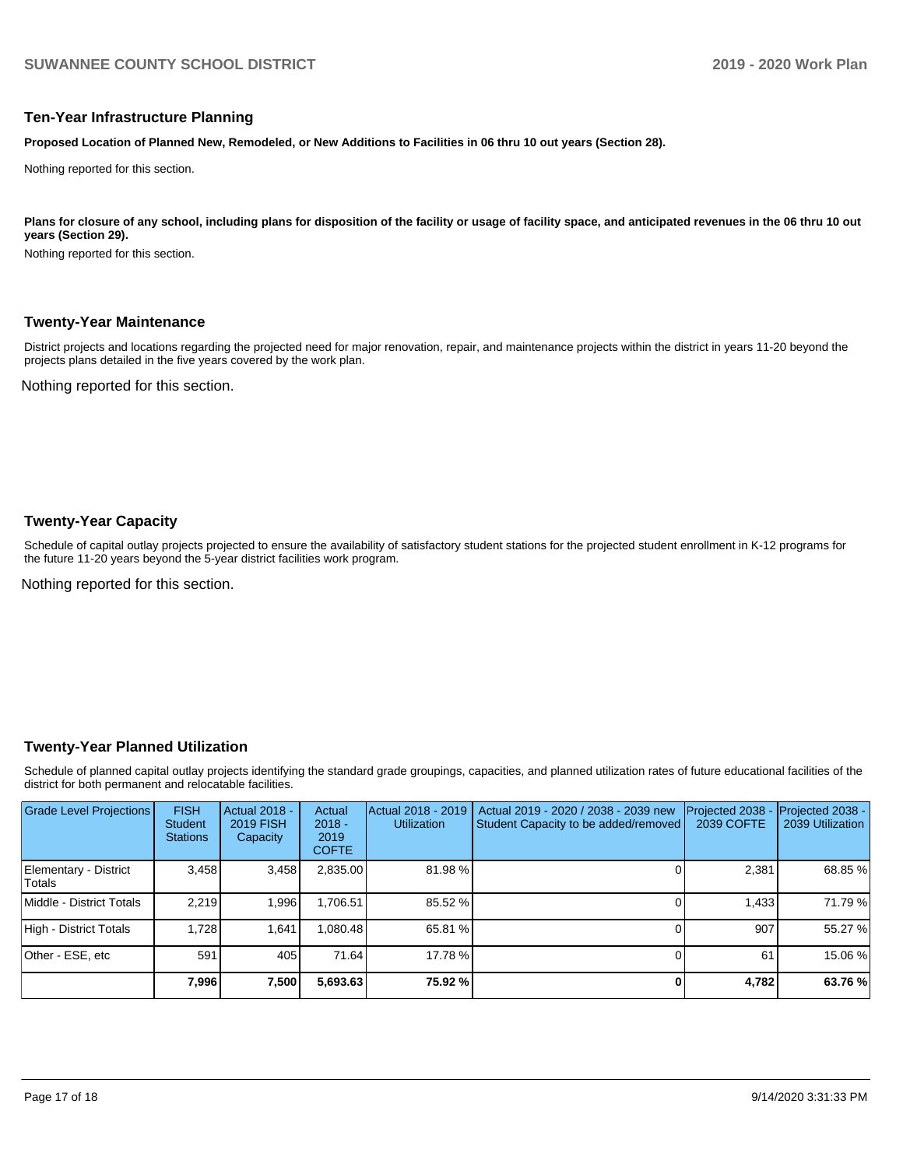#### **Ten-Year Infrastructure Planning**

**Proposed Location of Planned New, Remodeled, or New Additions to Facilities in 06 thru 10 out years (Section 28).**

Nothing reported for this section.

#### Plans for closure of any school, including plans for disposition of the facility or usage of facility space, and anticipated revenues in the 06 thru 10 out **years (Section 29).**

Nothing reported for this section.

#### **Twenty-Year Maintenance**

District projects and locations regarding the projected need for major renovation, repair, and maintenance projects within the district in years 11-20 beyond the projects plans detailed in the five years covered by the work plan.

Nothing reported for this section.

#### **Twenty-Year Capacity**

Schedule of capital outlay projects projected to ensure the availability of satisfactory student stations for the projected student enrollment in K-12 programs for the future 11-20 years beyond the 5-year district facilities work program.

Nothing reported for this section.

#### **Twenty-Year Planned Utilization**

Schedule of planned capital outlay projects identifying the standard grade groupings, capacities, and planned utilization rates of future educational facilities of the district for both permanent and relocatable facilities.

| <b>Grade Level Projections</b>  | <b>FISH</b><br><b>Student</b><br><b>Stations</b> | <b>Actual 2018 -</b><br><b>2019 FISH</b><br>Capacity | Actual<br>$2018 -$<br>2019<br><b>COFTE</b> | Actual 2018 - 2019<br><b>Utilization</b> | Actual 2019 - 2020 / 2038 - 2039 new<br>Student Capacity to be added/removed | Projected 2038<br>2039 COFTE | Projected 2038 -<br>2039 Utilization |
|---------------------------------|--------------------------------------------------|------------------------------------------------------|--------------------------------------------|------------------------------------------|------------------------------------------------------------------------------|------------------------------|--------------------------------------|
| Elementary - District<br>Totals | 3.458                                            | 3,458                                                | 2,835.00                                   | 81.98%                                   |                                                                              | 2,381                        | 68.85 %                              |
| Middle - District Totals        | 2.219                                            | 1.996                                                | .706.51                                    | 85.52 %                                  |                                                                              | 1.433                        | 71.79 %                              |
| High - District Totals          | 1.728                                            | 1.641                                                | .080.48                                    | 65.81 %                                  |                                                                              | 907                          | 55.27 %                              |
| Other - ESE, etc                | 591                                              | 405                                                  | 71.64                                      | 17.78 %                                  |                                                                              | 61                           | 15.06 %                              |
|                                 | 7,996                                            | 7,500                                                | 5,693.63                                   | 75.92 %                                  |                                                                              | 4,782                        | 63.76 %                              |